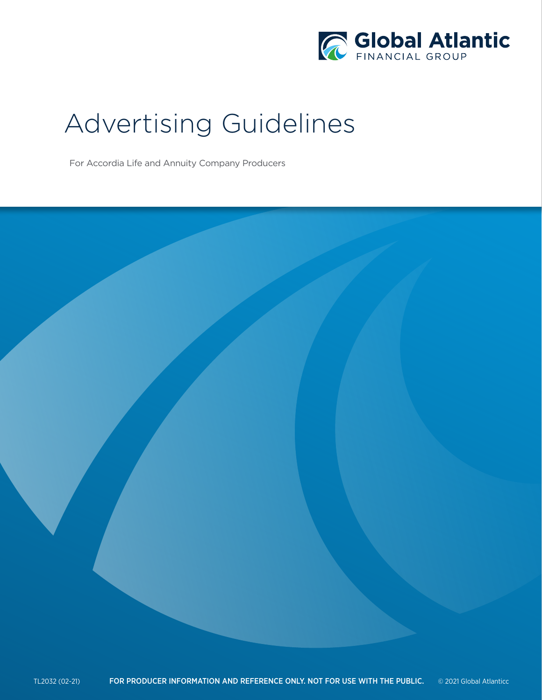

# Advertising Guidelines

For Accordia Life and Annuity Company Producers

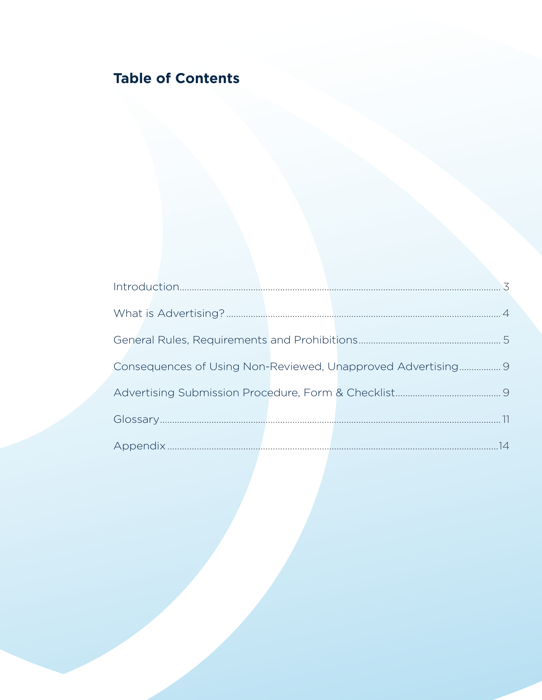# **Table of Contents**

|  | Consequences of Using Non-Reviewed, Unapproved Advertising 9 |  |
|--|--------------------------------------------------------------|--|
|  |                                                              |  |
|  |                                                              |  |
|  |                                                              |  |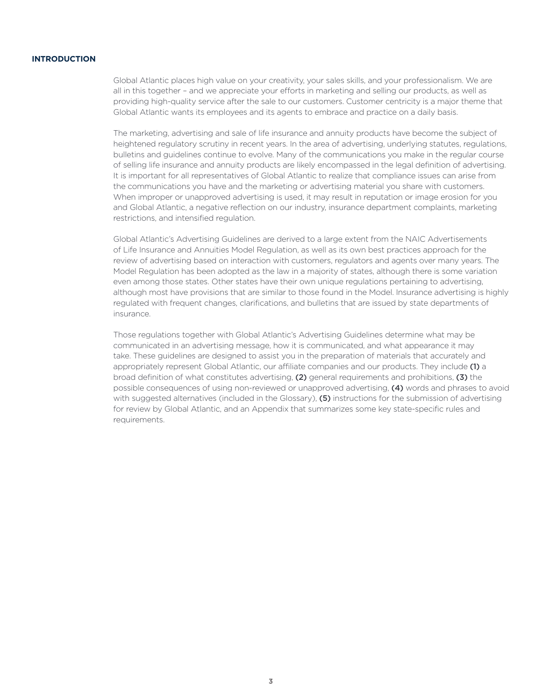# **INTRODUCTION**

Global Atlantic places high value on your creativity, your sales skills, and your professionalism. We are all in this together – and we appreciate your efforts in marketing and selling our products, as well as providing high-quality service after the sale to our customers. Customer centricity is a major theme that Global Atlantic wants its employees and its agents to embrace and practice on a daily basis.

The marketing, advertising and sale of life insurance and annuity products have become the subject of heightened regulatory scrutiny in recent years. In the area of advertising, underlying statutes, regulations, bulletins and guidelines continue to evolve. Many of the communications you make in the regular course of selling life insurance and annuity products are likely encompassed in the legal definition of advertising. It is important for all representatives of Global Atlantic to realize that compliance issues can arise from the communications you have and the marketing or advertising material you share with customers. When improper or unapproved advertising is used, it may result in reputation or image erosion for you and Global Atlantic, a negative reflection on our industry, insurance department complaints, marketing restrictions, and intensified regulation.

Global Atlantic's Advertising Guidelines are derived to a large extent from the NAIC Advertisements of Life Insurance and Annuities Model Regulation, as well as its own best practices approach for the review of advertising based on interaction with customers, regulators and agents over many years. The Model Regulation has been adopted as the law in a majority of states, although there is some variation even among those states. Other states have their own unique regulations pertaining to advertising, although most have provisions that are similar to those found in the Model. Insurance advertising is highly regulated with frequent changes, clarifications, and bulletins that are issued by state departments of insurance.

Those regulations together with Global Atlantic's Advertising Guidelines determine what may be communicated in an advertising message, how it is communicated, and what appearance it may take. These guidelines are designed to assist you in the preparation of materials that accurately and appropriately represent Global Atlantic, our affiliate companies and our products. They include (1) a broad definition of what constitutes advertising, (2) general requirements and prohibitions, (3) the possible consequences of using non-reviewed or unapproved advertising, (4) words and phrases to avoid with suggested alternatives (included in the Glossary), (5) instructions for the submission of advertising for review by Global Atlantic, and an Appendix that summarizes some key state-specific rules and requirements.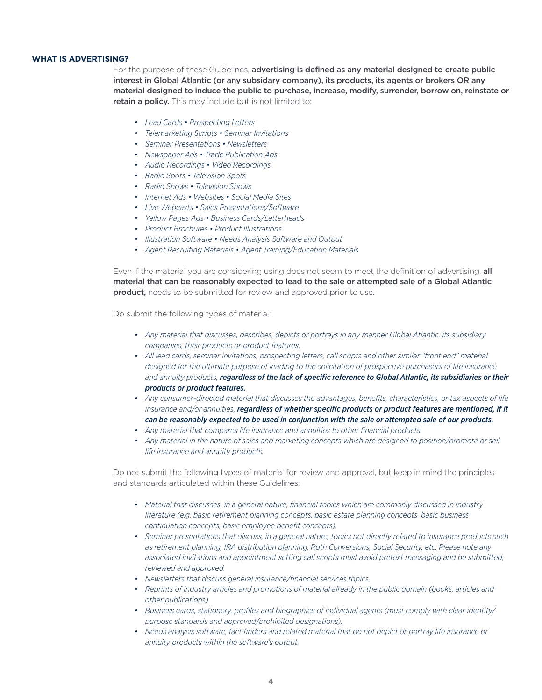# **WHAT IS ADVERTISING?**

For the purpose of these Guidelines, advertising is defined as any material designed to create public interest in Global Atlantic (or any subsidary company), its products, its agents or brokers OR any material designed to induce the public to purchase, increase, modify, surrender, borrow on, reinstate or retain a policy. This may include but is not limited to:

- *• Lead Cards Prospecting Letters*
- *• Telemarketing Scripts Seminar Invitations*
- *• Seminar Presentations Newsletters*
- *• Newspaper Ads Trade Publication Ads*
- *• Audio Recordings Video Recordings*
- *• Radio Spots Television Spots*
- *• Radio Shows Television Shows*
- *• Internet Ads Websites Social Media Sites*
- *• Live Webcasts Sales Presentations/Software*
- *• Yellow Pages Ads Business Cards/Letterheads*
- *• Product Brochures Product Illustrations*
- *• Illustration Software Needs Analysis Software and Output*
- *• Agent Recruiting Materials Agent Training/Education Materials*

Even if the material you are considering using does not seem to meet the definition of advertising, all material that can be reasonably expected to lead to the sale or attempted sale of a Global Atlantic product, needs to be submitted for review and approved prior to use.

Do submit the following types of material:

- *• Any material that discusses, describes, depicts or portrays in any manner Global Atlantic, its subsidiary companies, their products or product features.*
- **•** All lead cards, seminar invitations, prospecting letters, call scripts and other similar "front end" material *designed for the ultimate purpose of leading to the solicitation of prospective purchasers of life insurance and annuity products, regardless of the lack of specific reference to Global Atlantic, its subsidiaries or their products or product features.*
- *• Any consumer-directed material that discusses the advantages, benefits, characteristics, or tax aspects of life insurance and/or annuities, regardless of whether specific products or product features are mentioned, if it can be reasonably expected to be used in conjunction with the sale or attempted sale of our products.*
- *• Any material that compares life insurance and annuities to other financial products.*
- Any material in the nature of sales and marketing concepts which are designed to position/promote or sell *life insurance and annuity products.*

Do not submit the following types of material for review and approval, but keep in mind the principles and standards articulated within these Guidelines:

- *• Material that discusses, in a general nature, financial topics which are commonly discussed in industry literature (e.g. basic retirement planning concepts, basic estate planning concepts, basic business continuation concepts, basic employee benefit concepts).*
- *• Seminar presentations that discuss, in a general nature, topics not directly related to insurance products such as retirement planning, IRA distribution planning, Roth Conversions, Social Security, etc. Please note any associated invitations and appointment setting call scripts must avoid pretext messaging and be submitted, reviewed and approved.*
- *• Newsletters that discuss general insurance/financial services topics.*
- *• Reprints of industry articles and promotions of material already in the public domain (books, articles and other publications).*
- *• Business cards, stationery, profiles and biographies of individual agents (must comply with clear identity/ purpose standards and approved/prohibited designations).*
- Needs analysis software, fact finders and related material that do not depict or portray life insurance or *annuity products within the software's output.*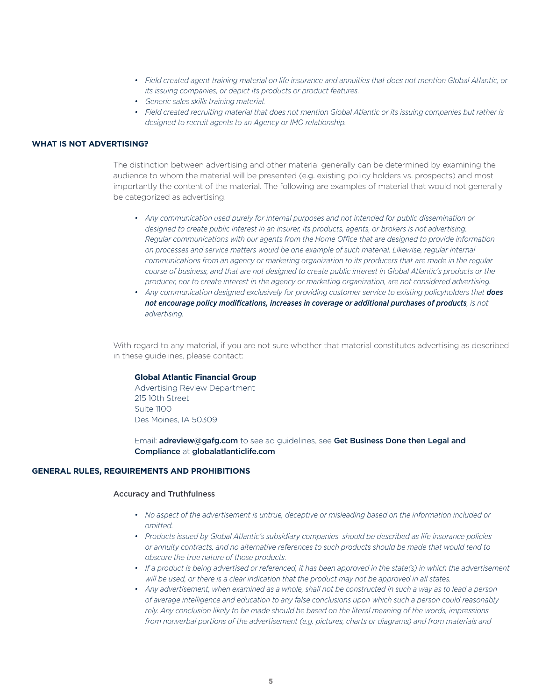- *• Field created agent training material on life insurance and annuities that does not mention Global Atlantic, or its issuing companies, or depict its products or product features.*
- *• Generic sales skills training material.*
- *• Field created recruiting material that does not mention Global Atlantic or its issuing companies but rather is designed to recruit agents to an Agency or IMO relationship.*

# **WHAT IS NOT ADVERTISING?**

The distinction between advertising and other material generally can be determined by examining the audience to whom the material will be presented (e.g. existing policy holders vs. prospects) and most importantly the content of the material. The following are examples of material that would not generally be categorized as advertising.

- *• Any communication used purely for internal purposes and not intended for public dissemination or designed to create public interest in an insurer, its products, agents, or brokers is not advertising. Regular communications with our agents from the Home Office that are designed to provide information on processes and service matters would be one example of such material. Likewise, regular internal communications from an agency or marketing organization to its producers that are made in the regular course of business, and that are not designed to create public interest in Global Atlantic's products or the producer, nor to create interest in the agency or marketing organization, are not considered advertising.*
- *• Any communication designed exclusively for providing customer service to existing policyholders that does not encourage policy modifications, increases in coverage or additional purchases of products, is not advertising.*

With regard to any material, if you are not sure whether that material constitutes advertising as described in these guidelines, please contact:

#### **Global Atlantic Financial Group**

Advertising Review Department 215 10th Street Suite 1100 Des Moines, IA 50309

Email: **adreview@gafg.com** to see ad quidelines, see Get Business Done then Legal and Compliance at globalatlanticlife.com

#### **GENERAL RULES, REQUIREMENTS AND PROHIBITIONS**

#### Accuracy and Truthfulness

- *• No aspect of the advertisement is untrue, deceptive or misleading based on the information included or omitted.*
- *• Products issued by Global Atlantic's subsidiary companies should be described as life insurance policies or annuity contracts, and no alternative references to such products should be made that would tend to obscure the true nature of those products.*
- If a product is being advertised or referenced, it has been approved in the state(s) in which the advertisement *will be used, or there is a clear indication that the product may not be approved in all states.*
- *• Any advertisement, when examined as a whole, shall not be constructed in such a way as to lead a person of average intelligence and education to any false conclusions upon which such a person could reasonably rely. Any conclusion likely to be made should be based on the literal meaning of the words, impressions from nonverbal portions of the advertisement (e.g. pictures, charts or diagrams) and from materials and*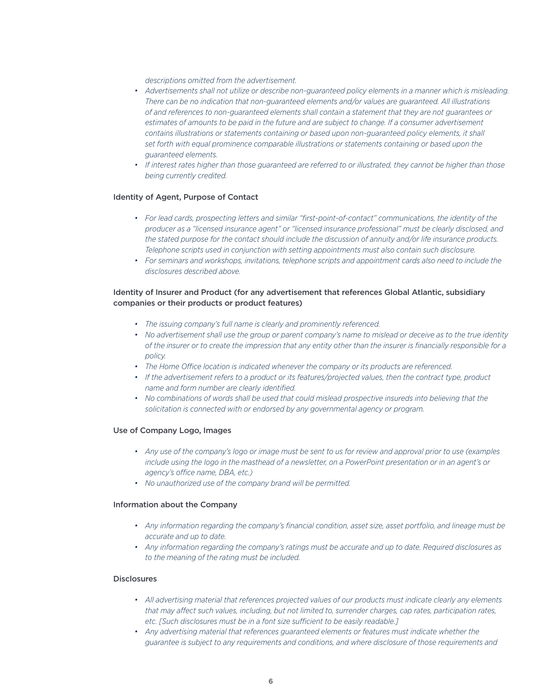*descriptions omitted from the advertisement.*

- Advertisements shall not utilize or describe non-quaranteed policy elements in a manner which is misleading. *There can be no indication that non-guaranteed elements and/or values are guaranteed. All illustrations of and references to non-guaranteed elements shall contain a statement that they are not guarantees or*  estimates of amounts to be paid in the future and are subject to change. If a consumer advertisement *contains illustrations or statements containing or based upon non-guaranteed policy elements, it shall set forth with equal prominence comparable illustrations or statements containing or based upon the guaranteed elements.*
- If interest rates higher than those guaranteed are referred to or illustrated, they cannot be higher than those *being currently credited.*

#### Identity of Agent, Purpose of Contact

- For lead cards, prospecting letters and similar "first-point-of-contact" communications, the identity of the *producer as a "licensed insurance agent" or "licensed insurance professional" must be clearly disclosed, and the stated purpose for the contact should include the discussion of annuity and/or life insurance products. Telephone scripts used in conjunction with setting appointments must also contain such disclosure.*
- *• For seminars and workshops, invitations, telephone scripts and appointment cards also need to include the disclosures described above.*

# Identity of Insurer and Product (for any advertisement that references Global Atlantic, subsidiary companies or their products or product features)

- *• The issuing company's full name is clearly and prominently referenced.*
- *• No advertisement shall use the group or parent company's name to mislead or deceive as to the true identity of the insurer or to create the impression that any entity other than the insurer is financially responsible for a policy.*
- *• The Home Office location is indicated whenever the company or its products are referenced.*
- *• If the advertisement refers to a product or its features/projected values, then the contract type, product name and form number are clearly identified.*
- *• No combinations of words shall be used that could mislead prospective insureds into believing that the solicitation is connected with or endorsed by any governmental agency or program.*

#### Use of Company Logo, Images

- *• Any use of the company's logo or image must be sent to us for review and approval prior to use (examples include using the logo in the masthead of a newsletter, on a PowerPoint presentation or in an agent's or agency's office name, DBA, etc.)*
- *• No unauthorized use of the company brand will be permitted.*

#### Information about the Company

- *• Any information regarding the company's financial condition, asset size, asset portfolio, and lineage must be accurate and up to date.*
- *• Any information regarding the company's ratings must be accurate and up to date. Required disclosures as to the meaning of the rating must be included.*

#### **Disclosures**

- *• All advertising material that references projected values of our products must indicate clearly any elements that may affect such values, including, but not limited to, surrender charges, cap rates, participation rates, etc. [Such disclosures must be in a font size sufficient to be easily readable.]*
- Any advertising material that references quaranteed elements or features must indicate whether the *guarantee is subject to any requirements and conditions, and where disclosure of those requirements and*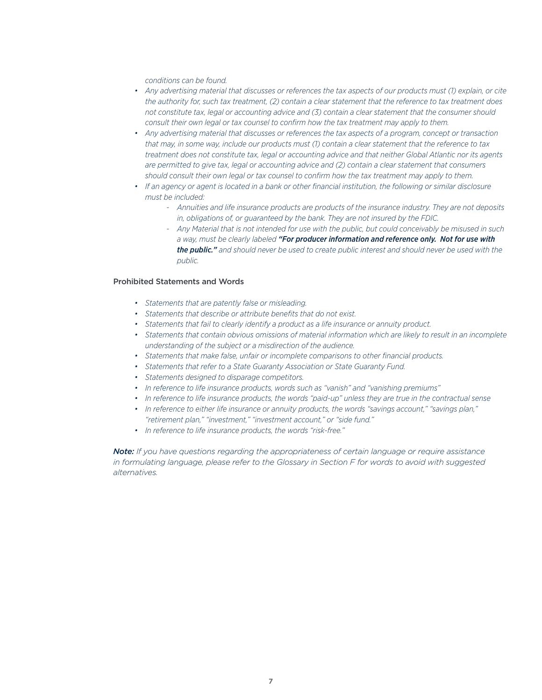*conditions can be found.*

- *• Any advertising material that discusses or references the tax aspects of our products must (1) explain, or cite the authority for, such tax treatment, (2) contain a clear statement that the reference to tax treatment does not constitute tax, legal or accounting advice and (3) contain a clear statement that the consumer should consult their own legal or tax counsel to confirm how the tax treatment may apply to them.*
- *• Any advertising material that discusses or references the tax aspects of a program, concept or transaction that may, in some way, include our products must (1) contain a clear statement that the reference to tax treatment does not constitute tax, legal or accounting advice and that neither Global Atlantic nor its agents are permitted to give tax, legal or accounting advice and (2) contain a clear statement that consumers should consult their own legal or tax counsel to confirm how the tax treatment may apply to them.*
- *• If an agency or agent is located in a bank or other financial institution, the following or similar disclosure must be included:*
	- *- Annuities and life insurance products are products of the insurance industry. They are not deposits in, obligations of, or guaranteed by the bank. They are not insured by the FDIC.*
	- *- Any Material that is not intended for use with the public, but could conceivably be misused in such a way, must be clearly labeled "For producer information and reference only. Not for use with the public." and should never be used to create public interest and should never be used with the public.*

#### Prohibited Statements and Words

- *• Statements that are patently false or misleading.*
- *• Statements that describe or attribute benefits that do not exist.*
- *• Statements that fail to clearly identify a product as a life insurance or annuity product.*
- *• Statements that contain obvious omissions of material information which are likely to result in an incomplete understanding of the subject or a misdirection of the audience.*
- *• Statements that make false, unfair or incomplete comparisons to other financial products.*
- *• Statements that refer to a State Guaranty Association or State Guaranty Fund.*
- *• Statements designed to disparage competitors.*
- *• In reference to life insurance products, words such as "vanish" and "vanishing premiums"*
- *• In reference to life insurance products, the words "paid-up" unless they are true in the contractual sense*
- *• In reference to either life insurance or annuity products, the words "savings account," "savings plan," "retirement plan," "investment," "investment account," or "side fund."*
- *• In reference to life insurance products, the words "risk-free."*

*Note: If you have questions regarding the appropriateness of certain language or require assistance in formulating language, please refer to the Glossary in Section F for words to avoid with suggested alternatives.*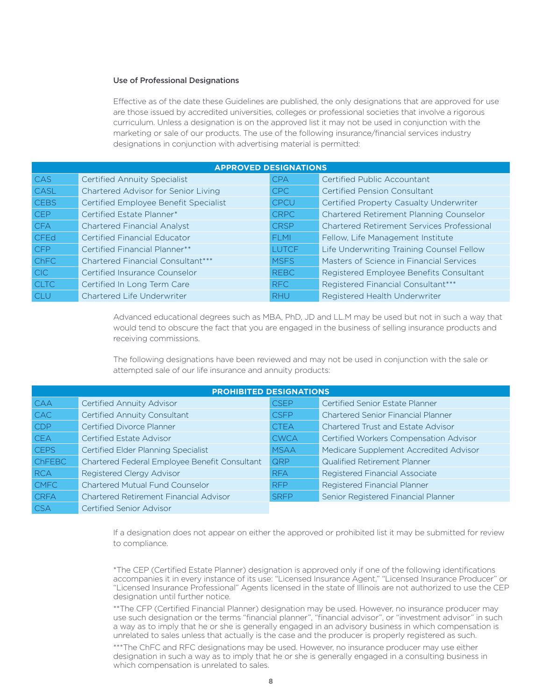#### Use of Professional Designations

Effective as of the date these Guidelines are published, the only designations that are approved for use are those issued by accredited universities, colleges or professional societies that involve a rigorous curriculum. Unless a designation is on the approved list it may not be used in conjunction with the marketing or sale of our products. The use of the following insurance/financial services industry designations in conjunction with advertising material is permitted:

| <b>APPROVED DESIGNATIONS</b> |                                          |              |                                                   |
|------------------------------|------------------------------------------|--------------|---------------------------------------------------|
| CAS                          | <b>Certified Annuity Specialist</b>      | <b>CPA</b>   | <b>Certified Public Accountant</b>                |
| CASL                         | Chartered Advisor for Senior Living      | CPC          | <b>Certified Pension Consultant</b>               |
| <b>CEBS</b>                  | Certified Employee Benefit Specialist    | <b>CPCU</b>  | Certified Property Casualty Underwriter           |
| <b>CEP</b>                   | Certified Estate Planner*                | <b>CRPC</b>  | Chartered Retirement Planning Counselor           |
| <b>CFA</b>                   | <b>Chartered Financial Analyst</b>       | <b>CRSP</b>  | <b>Chartered Retirement Services Professional</b> |
| <b>CFEd</b>                  | <b>Certified Financial Educator</b>      | <b>FLMI</b>  | Fellow, Life Management Institute                 |
| <b>CFP</b>                   | <b>Certified Financial Planner**</b>     | <b>LUTCF</b> | Life Underwriting Training Counsel Fellow         |
| Ch <sub>FC</sub>             | <b>Chartered Financial Consultant***</b> | <b>MSFS</b>  | Masters of Science in Financial Services          |
| CIC.                         | Certified Insurance Counselor            | <b>REBC</b>  | Registered Employee Benefits Consultant           |
| <b>CLTC</b>                  | Certified In Long Term Care              | RFC          | Registered Financial Consultant***                |
| <b>CLU</b>                   | Chartered Life Underwriter               | <b>RHU</b>   | Registered Health Underwriter                     |

Advanced educational degrees such as MBA, PhD, JD and LL.M may be used but not in such a way that would tend to obscure the fact that you are engaged in the business of selling insurance products and receiving commissions.

The following designations have been reviewed and may not be used in conjunction with the sale or attempted sale of our life insurance and annuity products:

| <b>PROHIBITED DESIGNATIONS</b> |                                               |             |                                           |
|--------------------------------|-----------------------------------------------|-------------|-------------------------------------------|
| <b>CAA</b>                     | <b>Certified Annuity Advisor</b>              | <b>CSEP</b> | Certified Senior Estate Planner           |
| <b>CAC</b>                     | <b>Certified Annuity Consultant</b>           | <b>CSFP</b> | <b>Chartered Senior Financial Planner</b> |
| CDP                            | <b>Certified Divorce Planner</b>              | <b>CTEA</b> | <b>Chartered Trust and Estate Advisor</b> |
| <b>CEA</b>                     | <b>Certified Estate Advisor</b>               | <b>CWCA</b> | Certified Workers Compensation Advisor    |
| <b>CEPS</b>                    | Certified Elder Planning Specialist           | <b>MSAA</b> | Medicare Supplement Accredited Advisor    |
| <b>ChFEBC</b>                  | Chartered Federal Employee Benefit Consultant | <b>QRP</b>  | <b>Qualified Retirement Planner</b>       |
| <b>RCA</b>                     | Registered Clergy Advisor                     | <b>RFA</b>  | <b>Registered Financial Associate</b>     |
| <b>CMFC</b>                    | <b>Chartered Mutual Fund Counselor</b>        | <b>RFP</b>  | Registered Financial Planner              |
| <b>CRFA</b>                    | <b>Chartered Retirement Financial Advisor</b> | <b>SRFP</b> | Senior Registered Financial Planner       |
| <b>CSA</b>                     | <b>Certified Senior Advisor</b>               |             |                                           |

If a designation does not appear on either the approved or prohibited list it may be submitted for review to compliance.

\*The CEP (Certified Estate Planner) designation is approved only if one of the following identifications accompanies it in every instance of its use: "Licensed Insurance Agent," "Licensed Insurance Producer" or "Licensed Insurance Professional" Agents licensed in the state of Illinois are not authorized to use the CEP designation until further notice.

\*\*The CFP (Certified Financial Planner) designation may be used. However, no insurance producer may use such designation or the terms "financial planner", "financial advisor", or "investment advisor" in such a way as to imply that he or she is generally engaged in an advisory business in which compensation is unrelated to sales unless that actually is the case and the producer is properly registered as such.

\*\*\*The ChFC and RFC designations may be used. However, no insurance producer may use either designation in such a way as to imply that he or she is generally engaged in a consulting business in which compensation is unrelated to sales.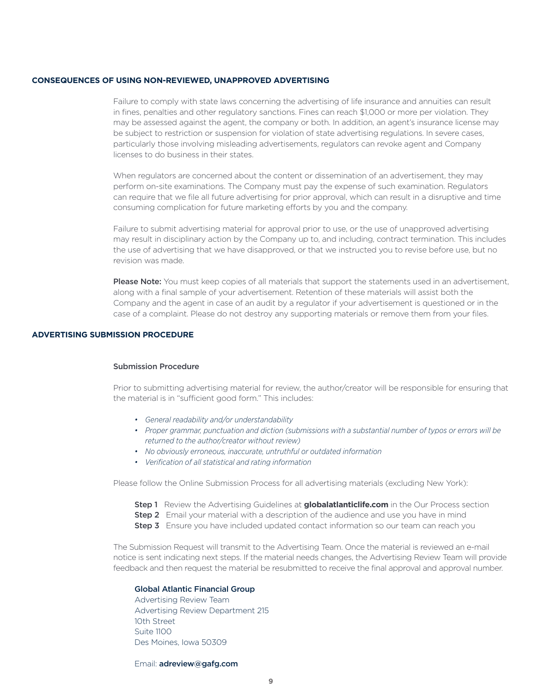#### **CONSEQUENCES OF USING NON-REVIEWED, UNAPPROVED ADVERTISING**

Failure to comply with state laws concerning the advertising of life insurance and annuities can result in fines, penalties and other regulatory sanctions. Fines can reach \$1,000 or more per violation. They may be assessed against the agent, the company or both. In addition, an agent's insurance license may be subject to restriction or suspension for violation of state advertising regulations. In severe cases, particularly those involving misleading advertisements, regulators can revoke agent and Company licenses to do business in their states.

When regulators are concerned about the content or dissemination of an advertisement, they may perform on-site examinations. The Company must pay the expense of such examination. Regulators can require that we file all future advertising for prior approval, which can result in a disruptive and time consuming complication for future marketing efforts by you and the company.

Failure to submit advertising material for approval prior to use, or the use of unapproved advertising may result in disciplinary action by the Company up to, and including, contract termination. This includes the use of advertising that we have disapproved, or that we instructed you to revise before use, but no revision was made.

Please Note: You must keep copies of all materials that support the statements used in an advertisement, along with a final sample of your advertisement. Retention of these materials will assist both the Company and the agent in case of an audit by a regulator if your advertisement is questioned or in the case of a complaint. Please do not destroy any supporting materials or remove them from your files.

#### **ADVERTISING SUBMISSION PROCEDURE**

#### Submission Procedure

Prior to submitting advertising material for review, the author/creator will be responsible for ensuring that the material is in "sufficient good form." This includes:

- *• General readability and/or understandability*
- *• Proper grammar, punctuation and diction (submissions with a substantial number of typos or errors will be returned to the author/creator without review)*
- *• No obviously erroneous, inaccurate, untruthful or outdated information*
- *• Verification of all statistical and rating information*

Please follow the Online Submission Process for all advertising materials (excluding New York):

- **Step 1** Review the Advertising Guidelines at **globalatianticlife.com** in the Our Process section
- **Step 2** Email your material with a description of the audience and use you have in mind
- Step 3 Ensure you have included updated contact information so our team can reach you

The Submission Request will transmit to the Advertising Team. Once the material is reviewed an e-mail notice is sent indicating next steps. If the material needs changes, the Advertising Review Team will provide feedback and then request the material be resubmitted to receive the final approval and approval number.

### Global Atlantic Financial Group

Advertising Review Team Advertising Review Department 215 10th Street  $S$ uite 1100 Des Moines, Iowa 50309

#### Email: adreview@gafg.com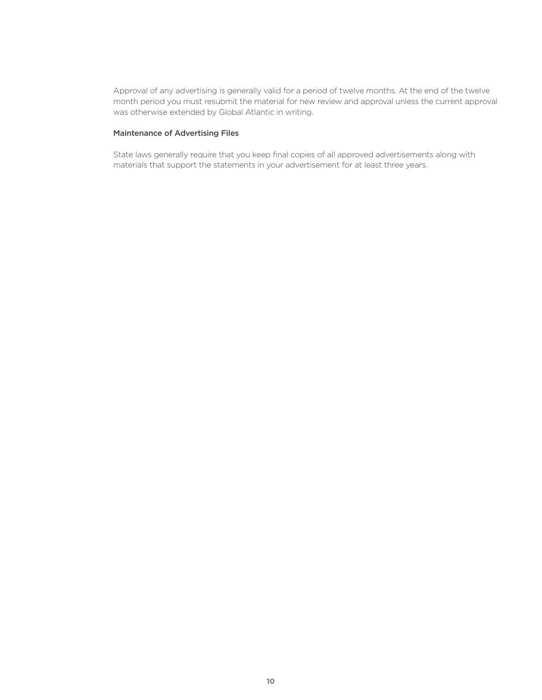Approval of any advertising is generally valid for a period of twelve months. At the end of the twelve month period you must resubmit the material for new review and approval unless the current approval was otherwise extended by Global Atlantic in writing.

#### Maintenance of Advertising Files

State laws generally require that you keep final copies of all approved advertisements along with materials that support the statements in your advertisement for at least three years.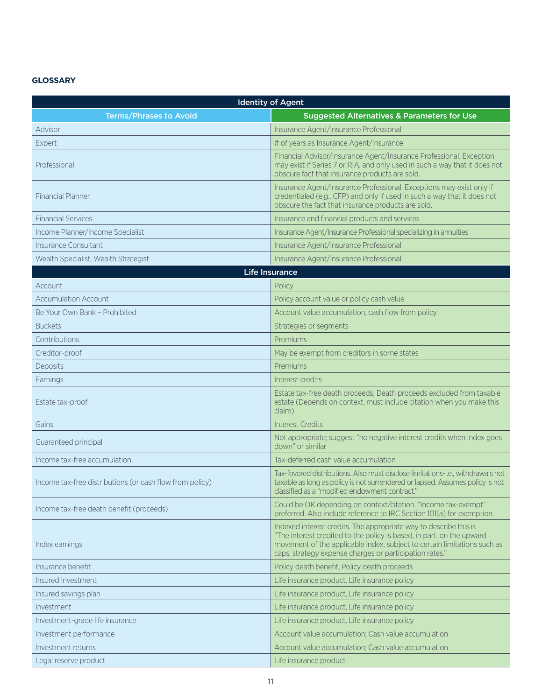# **GLOSSARY**

| <b>Identity of Agent</b>                                 |                                                                                                                                                                                                                                                                                   |  |
|----------------------------------------------------------|-----------------------------------------------------------------------------------------------------------------------------------------------------------------------------------------------------------------------------------------------------------------------------------|--|
| <b>Terms/Phrases to Avoid</b>                            | <b>Suggested Alternatives &amp; Parameters for Use</b>                                                                                                                                                                                                                            |  |
| Advisor                                                  | Insurance Agent/Insurance Professional                                                                                                                                                                                                                                            |  |
| Expert                                                   | # of years as Insurance Agent/Insurance                                                                                                                                                                                                                                           |  |
| Professional                                             | Financial Advisor/Insurance Agent/Insurance Professional. Exception<br>may exist if Series 7 or RIA, and only used in such a way that it does not<br>obscure fact that insurance products are sold.                                                                               |  |
| <b>Financial Planner</b>                                 | Insurance Agent/Insurance Professional. Exceptions may exist only if<br>credentialed (e.g., CFP) and only if used in such a way that it does not<br>obscure the fact that insurance products are sold.                                                                            |  |
| <b>Financial Services</b>                                | Insurance and financial products and services                                                                                                                                                                                                                                     |  |
| Income Planner/Income Specialist                         | Insurance Agent/Insurance Professional specializing in annuities                                                                                                                                                                                                                  |  |
| Insurance Consultant                                     | Insurance Agent/Insurance Professional                                                                                                                                                                                                                                            |  |
| Wealth Specialist, Wealth Strategist                     | Insurance Agent/Insurance Professional                                                                                                                                                                                                                                            |  |
|                                                          | <b>Life Insurance</b>                                                                                                                                                                                                                                                             |  |
| Account                                                  | Policy                                                                                                                                                                                                                                                                            |  |
| <b>Accumulation Account</b>                              | Policy account value or policy cash value                                                                                                                                                                                                                                         |  |
| Be Your Own Bank - Prohibited                            | Account value accumulation, cash flow from policy                                                                                                                                                                                                                                 |  |
| <b>Buckets</b>                                           | Strategies or segments                                                                                                                                                                                                                                                            |  |
| Contributions                                            | Premiums                                                                                                                                                                                                                                                                          |  |
| Creditor-proof                                           | May be exempt from creditors in some states                                                                                                                                                                                                                                       |  |
| Deposits                                                 | Premiums                                                                                                                                                                                                                                                                          |  |
| Earnings                                                 | Interest credits                                                                                                                                                                                                                                                                  |  |
| Estate tax-proof                                         | Estate tax-free death proceeds; Death proceeds excluded from taxable<br>estate (Depends on context, must include citation when you make this<br>claim)                                                                                                                            |  |
| Gains                                                    | <b>Interest Credits</b>                                                                                                                                                                                                                                                           |  |
| Guaranteed principal                                     | Not appropriate; suggest "no negative interest credits when index goes<br>down" or similar                                                                                                                                                                                        |  |
| Income tax-free accumulation                             | Tax-deferred cash value accumulation                                                                                                                                                                                                                                              |  |
| Income tax-free distributions (or cash flow from policy) | Tax-fovored distributions. Also must disclose limitations-i.e., withdrawals not<br>taxable as long as policy is not surrendered or lapsed. Assumes policy is not<br>classified as a "modified endowment contract."                                                                |  |
| Income tax-free death benefit (proceeds)                 | Could be OK depending on context/citation. "Income tax-exempt"<br>preferred. Also include reference to IRC Section 101(a) for exemption.                                                                                                                                          |  |
| Index earnings                                           | Indexed interest credits. The appropriate way to describe this is<br>"The interest credited to the policy is based, in part, on the upward<br>movement of the applicable index, subject to certain limitations such as<br>caps, strategy expense charges or participation rates." |  |
| Insurance benefit                                        | Policy death benefit, Policy death proceeds                                                                                                                                                                                                                                       |  |
| Insured Investment                                       | Life insurance product, Life insurance policy                                                                                                                                                                                                                                     |  |
| Insured savings plan                                     | Life insurance product, Life insurance policy                                                                                                                                                                                                                                     |  |
| Investment                                               | Life insurance product, Life insurance policy                                                                                                                                                                                                                                     |  |
| Investment-grade life insurance                          | Life insurance product, Life insurance policy                                                                                                                                                                                                                                     |  |
| Investment performance                                   | Account value accumulation; Cash value accumulation                                                                                                                                                                                                                               |  |
| Investment returns                                       | Account value accumulation; Cash value accumulation                                                                                                                                                                                                                               |  |
| Legal reserve product                                    | Life insurance product                                                                                                                                                                                                                                                            |  |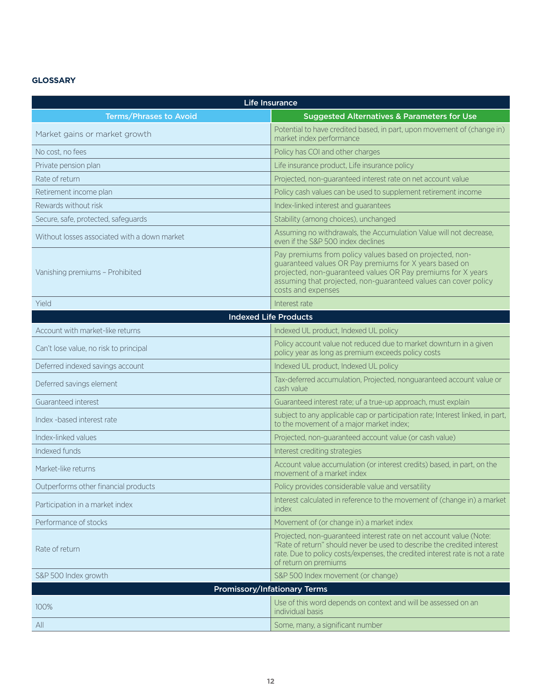# **GLOSSARY**

| <b>Life Insurance</b>                        |                                                                                                                                                                                                                                                                             |  |
|----------------------------------------------|-----------------------------------------------------------------------------------------------------------------------------------------------------------------------------------------------------------------------------------------------------------------------------|--|
| <b>Terms/Phrases to Avoid</b>                | <b>Suggested Alternatives &amp; Parameters for Use</b>                                                                                                                                                                                                                      |  |
| Market gains or market growth                | Potential to have credited based, in part, upon movement of (change in)<br>market index performance                                                                                                                                                                         |  |
| No cost, no fees                             | Policy has COI and other charges                                                                                                                                                                                                                                            |  |
| Private pension plan                         | Life insurance product, Life insurance policy                                                                                                                                                                                                                               |  |
| Rate of return                               | Projected, non-guaranteed interest rate on net account value                                                                                                                                                                                                                |  |
| Retirement income plan                       | Policy cash values can be used to supplement retirement income                                                                                                                                                                                                              |  |
| Rewards without risk                         | Index-linked interest and guarantees                                                                                                                                                                                                                                        |  |
| Secure, safe, protected, safeguards          | Stability (among choices), unchanged                                                                                                                                                                                                                                        |  |
| Without losses associated with a down market | Assuming no withdrawals, the Accumulation Value will not decrease,<br>even if the S&P 500 index declines                                                                                                                                                                    |  |
| Vanishing premiums - Prohibited              | Pay premiums from policy values based on projected, non-<br>guaranteed values OR Pay premiums for X years based on<br>projected, non-guaranteed values OR Pay premiums for X years<br>assuming that projected, non-guaranteed values can cover policy<br>costs and expenses |  |
| Yield                                        | Interest rate                                                                                                                                                                                                                                                               |  |
|                                              | <b>Indexed Life Products</b>                                                                                                                                                                                                                                                |  |
| Account with market-like returns             | Indexed UL product, Indexed UL policy                                                                                                                                                                                                                                       |  |
| Can't lose value, no risk to principal       | Policy account value not reduced due to market downturn in a given<br>policy year as long as premium exceeds policy costs                                                                                                                                                   |  |
| Deferred indexed savings account             | Indexed UL product, Indexed UL policy                                                                                                                                                                                                                                       |  |
| Deferred savings element                     | Tax-deferred accumulation, Projected, nonguaranteed account value or<br>cash value                                                                                                                                                                                          |  |
| Guaranteed interest                          | Guaranteed interest rate; uf a true-up approach, must explain                                                                                                                                                                                                               |  |
| Index -based interest rate                   | subject to any applicable cap or participation rate; Interest linked, in part,<br>to the movement of a major market index;                                                                                                                                                  |  |
| Index-linked values                          | Projected, non-guaranteed account value (or cash value)                                                                                                                                                                                                                     |  |
| Indexed funds                                | Interest crediting strategies                                                                                                                                                                                                                                               |  |
| Market-like returns                          | Account value accumulation (or interest credits) based, in part, on the<br>movement of a market index                                                                                                                                                                       |  |
| Outperforms other financial products         | Policy provides considerable value and versatility                                                                                                                                                                                                                          |  |
| Participation in a market index              | Interest calculated in reference to the movement of (change in) a market<br>index                                                                                                                                                                                           |  |
| Performance of stocks                        | Movement of (or change in) a market index                                                                                                                                                                                                                                   |  |
| Rate of return                               | Projected, non-guaranteed interest rate on net account value (Note:<br>"Rate of return" should never be used to describe the credited interest<br>rate. Due to policy costs/expenses, the credited interest rate is not a rate<br>of return on premiums                     |  |
| S&P 500 Index growth                         | S&P 500 Index movement (or change)                                                                                                                                                                                                                                          |  |
|                                              | <b>Promissory/Infationary Terms</b>                                                                                                                                                                                                                                         |  |
| 100%                                         | Use of this word depends on context and will be assessed on an<br>individual basis                                                                                                                                                                                          |  |
| All                                          | Some, many, a significant number                                                                                                                                                                                                                                            |  |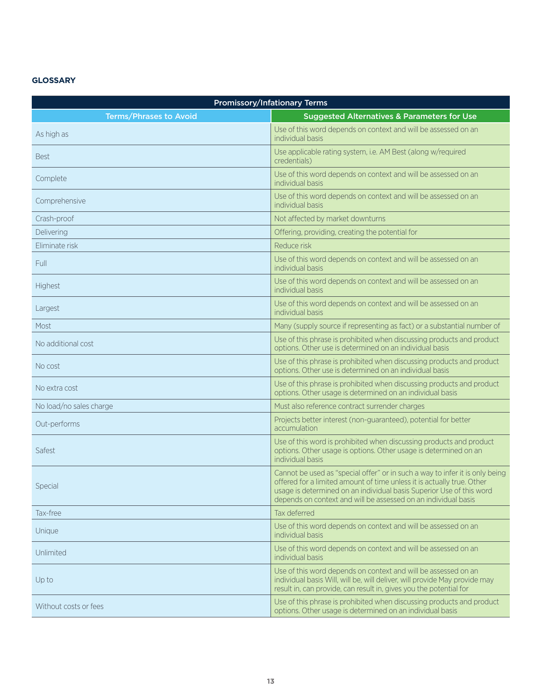# **GLOSSARY**

| <b>Promissory/Infationary Terms</b> |                                                                                                                                                                                                                                                                                                  |  |
|-------------------------------------|--------------------------------------------------------------------------------------------------------------------------------------------------------------------------------------------------------------------------------------------------------------------------------------------------|--|
| <b>Terms/Phrases to Avoid</b>       | <b>Suggested Alternatives &amp; Parameters for Use</b>                                                                                                                                                                                                                                           |  |
| As high as                          | Use of this word depends on context and will be assessed on an<br>individual basis                                                                                                                                                                                                               |  |
| <b>Best</b>                         | Use applicable rating system, i.e. AM Best (along w/required<br>credentials)                                                                                                                                                                                                                     |  |
| Complete                            | Use of this word depends on context and will be assessed on an<br>individual basis                                                                                                                                                                                                               |  |
| Comprehensive                       | Use of this word depends on context and will be assessed on an<br>individual basis                                                                                                                                                                                                               |  |
| Crash-proof                         | Not affected by market downturns                                                                                                                                                                                                                                                                 |  |
| Delivering                          | Offering, providing, creating the potential for                                                                                                                                                                                                                                                  |  |
| Eliminate risk                      | Reduce risk                                                                                                                                                                                                                                                                                      |  |
| Full                                | Use of this word depends on context and will be assessed on an<br>individual basis                                                                                                                                                                                                               |  |
| Highest                             | Use of this word depends on context and will be assessed on an<br>individual basis                                                                                                                                                                                                               |  |
| Largest                             | Use of this word depends on context and will be assessed on an<br>individual basis                                                                                                                                                                                                               |  |
| Most                                | Many (supply source if representing as fact) or a substantial number of                                                                                                                                                                                                                          |  |
| No additional cost                  | Use of this phrase is prohibited when discussing products and product<br>options. Other use is determined on an individual basis                                                                                                                                                                 |  |
| No cost                             | Use of this phrase is prohibited when discussing products and product<br>options. Other use is determined on an individual basis                                                                                                                                                                 |  |
| No extra cost                       | Use of this phrase is prohibited when discussing products and product<br>options. Other usage is determined on an individual basis                                                                                                                                                               |  |
| No load/no sales charge             | Must also reference contract surrender charges                                                                                                                                                                                                                                                   |  |
| Out-performs                        | Projects better interest (non-guaranteed), potential for better<br>accumulation                                                                                                                                                                                                                  |  |
| Safest                              | Use of this word is prohibited when discussing products and product<br>options. Other usage is options. Other usage is determined on an<br>individual basis                                                                                                                                      |  |
| Special                             | Cannot be used as "special offer" or in such a way to infer it is only being<br>offered for a limited amount of time unless it is actually true. Other<br>usage is determined on an individual basis Superior Use of this word<br>depends on context and will be assessed on an individual basis |  |
| Tax-free                            | Tax deferred                                                                                                                                                                                                                                                                                     |  |
| Unique                              | Use of this word depends on context and will be assessed on an<br>individual basis                                                                                                                                                                                                               |  |
| Unlimited                           | Use of this word depends on context and will be assessed on an<br>individual basis                                                                                                                                                                                                               |  |
| Up to                               | Use of this word depends on context and will be assessed on an<br>individual basis Will, will be, will deliver, will provide May provide may<br>result in, can provide, can result in, gives you the potential for                                                                               |  |
| Without costs or fees               | Use of this phrase is prohibited when discussing products and product<br>options. Other usage is determined on an individual basis                                                                                                                                                               |  |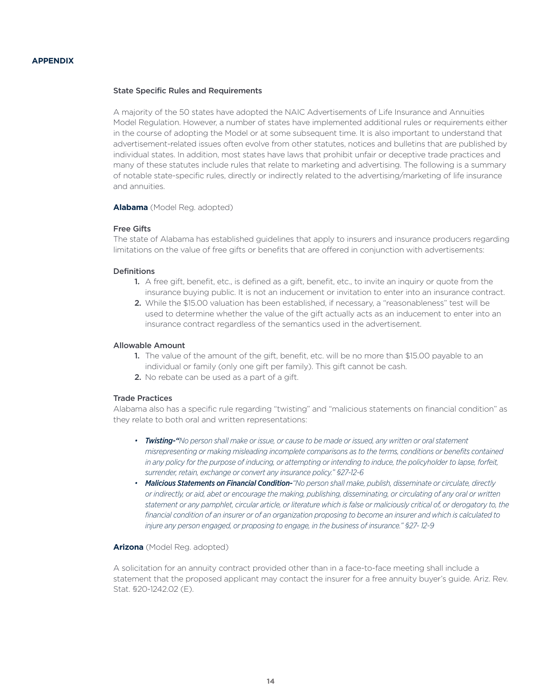#### **APPENDIX**

#### State Specific Rules and Requirements

A majority of the 50 states have adopted the NAIC Advertisements of Life Insurance and Annuities Model Regulation. However, a number of states have implemented additional rules or requirements either in the course of adopting the Model or at some subsequent time. It is also important to understand that advertisement-related issues often evolve from other statutes, notices and bulletins that are published by individual states. In addition, most states have laws that prohibit unfair or deceptive trade practices and many of these statutes include rules that relate to marketing and advertising. The following is a summary of notable state-specific rules, directly or indirectly related to the advertising/marketing of life insurance and annuities.

**Alabama** (Model Reg. adopted)

#### Free Gifts

The state of Alabama has established guidelines that apply to insurers and insurance producers regarding limitations on the value of free gifts or benefits that are offered in conjunction with advertisements:

#### Definitions

- 1. A free gift, benefit, etc., is defined as a gift, benefit, etc., to invite an inquiry or quote from the insurance buying public. It is not an inducement or invitation to enter into an insurance contract.
- 2. While the \$15.00 valuation has been established, if necessary, a "reasonableness" test will be used to determine whether the value of the gift actually acts as an inducement to enter into an insurance contract regardless of the semantics used in the advertisement.

#### Allowable Amount

- 1. The value of the amount of the gift, benefit, etc. will be no more than \$15.00 payable to an individual or family (only one gift per family). This gift cannot be cash.
- 2. No rebate can be used as a part of a gift.

# Trade Practices

Alabama also has a specific rule regarding "twisting" and "malicious statements on financial condition" as they relate to both oral and written representations:

- *• Twisting-"No person shall make or issue, or cause to be made or issued, any written or oral statement misrepresenting or making misleading incomplete comparisons as to the terms, conditions or benefits contained in any policy for the purpose of inducing, or attempting or intending to induce, the policyholder to lapse, forfeit, surrender, retain, exchange or convert any insurance policy." §27-12-6*
- **Malicious Statements on Financial Condition-**"No person shall make, publish, disseminate or circulate, directly *or indirectly, or aid, abet or encourage the making, publishing, disseminating, or circulating of any oral or written statement or any pamphlet, circular article, or literature which is false or maliciously critical of, or derogatory to, the financial condition of an insurer or of an organization proposing to become an insurer and which is calculated to injure any person engaged, or proposing to engage, in the business of insurance." §27- 12-9*

#### **Arizona** (Model Reg. adopted)

A solicitation for an annuity contract provided other than in a face-to-face meeting shall include a statement that the proposed applicant may contact the insurer for a free annuity buyer's guide. Ariz. Rev. Stat. §20-1242.02 (E).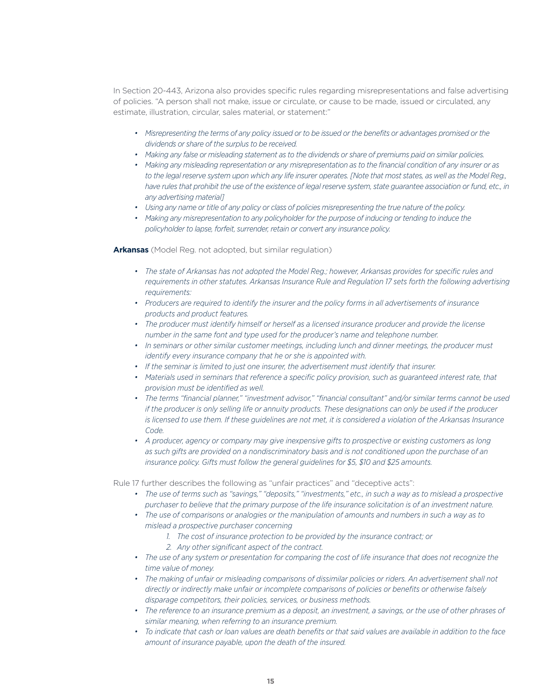In Section 20-443, Arizona also provides specific rules regarding misrepresentations and false advertising of policies. "A person shall not make, issue or circulate, or cause to be made, issued or circulated, any estimate, illustration, circular, sales material, or statement:"

- Misrepresenting the terms of any policy issued or to be issued or the benefits or advantages promised or the *dividends or share of the surplus to be received.*
- *• Making any false or misleading statement as to the dividends or share of premiums paid on similar policies.*
- *• Making any misleading representation or any misrepresentation as to the financial condition of any insurer or as*  to the legal reserve system upon which any life insurer operates. [Note that most states, as well as the Model Reg., *have rules that prohibit the use of the existence of legal reserve system, state guarantee association or fund, etc., in any advertising material]*
- *• Using any name or title of any policy or class of policies misrepresenting the true nature of the policy.*
- *• Making any misrepresentation to any policyholder for the purpose of inducing or tending to induce the policyholder to lapse, forfeit, surrender, retain or convert any insurance policy.*

**Arkansas** (Model Reg. not adopted, but similar regulation)

- *• The state of Arkansas has not adopted the Model Reg.; however, Arkansas provides for specific rules and requirements in other statutes. Arkansas Insurance Rule and Regulation 17 sets forth the following advertising requirements:*
- *• Producers are required to identify the insurer and the policy forms in all advertisements of insurance products and product features.*
- *• The producer must identify himself or herself as a licensed insurance producer and provide the license number in the same font and type used for the producer's name and telephone number.*
- *• In seminars or other similar customer meetings, including lunch and dinner meetings, the producer must identify every insurance company that he or she is appointed with.*
- *• If the seminar is limited to just one insurer, the advertisement must identify that insurer.*
- Materials used in seminars that reference a specific policy provision, such as quaranteed interest rate, that *provision must be identified as well.*
- *• The terms "financial planner," "investment advisor," "financial consultant" and/or similar terms cannot be used if the producer is only selling life or annuity products. These designations can only be used if the producer is licensed to use them. If these guidelines are not met, it is considered a violation of the Arkansas Insurance Code.*
- *• A producer, agency or company may give inexpensive gifts to prospective or existing customers as long as such gifts are provided on a nondiscriminatory basis and is not conditioned upon the purchase of an insurance policy. Gifts must follow the general guidelines for \$5, \$10 and \$25 amounts.*

Rule 17 further describes the following as "unfair practices" and "deceptive acts":

*• The use of terms such as "savings," "deposits," "investments," etc., in such a way as to mislead a prospective purchaser to believe that the primary purpose of the life insurance solicitation is of an investment nature.*

*• The use of comparisons or analogies or the manipulation of amounts and numbers in such a way as to mislead a prospective purchaser concerning*

- *1. The cost of insurance protection to be provided by the insurance contract; or*
- *2. Any other significant aspect of the contract.*
- *• The use of any system or presentation for comparing the cost of life insurance that does not recognize the time value of money.*
- *• The making of unfair or misleading comparisons of dissimilar policies or riders. An advertisement shall not directly or indirectly make unfair or incomplete comparisons of policies or benefits or otherwise falsely disparage competitors, their policies, services, or business methods.*
- *• The reference to an insurance premium as a deposit, an investment, a savings, or the use of other phrases of similar meaning, when referring to an insurance premium.*
- *• To indicate that cash or loan values are death benefits or that said values are available in addition to the face amount of insurance payable, upon the death of the insured.*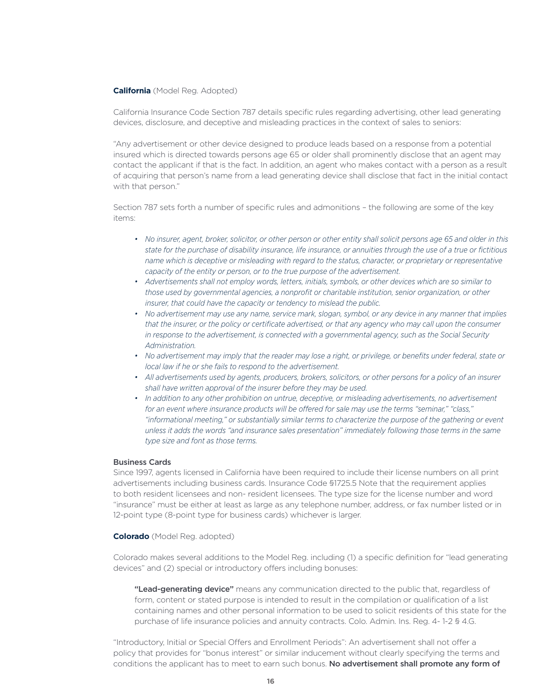#### **California** (Model Reg. Adopted)

California Insurance Code Section 787 details specific rules regarding advertising, other lead generating devices, disclosure, and deceptive and misleading practices in the context of sales to seniors:

"Any advertisement or other device designed to produce leads based on a response from a potential insured which is directed towards persons age 65 or older shall prominently disclose that an agent may contact the applicant if that is the fact. In addition, an agent who makes contact with a person as a result of acquiring that person's name from a lead generating device shall disclose that fact in the initial contact with that person."

Section 787 sets forth a number of specific rules and admonitions – the following are some of the key items:

- *• No insurer, agent, broker, solicitor, or other person or other entity shall solicit persons age 65 and older in this state for the purchase of disability insurance, life insurance, or annuities through the use of a true or fictitious name which is deceptive or misleading with regard to the status, character, or proprietary or representative capacity of the entity or person, or to the true purpose of the advertisement.*
- *• Advertisements shall not employ words, letters, initials, symbols, or other devices which are so similar to those used by governmental agencies, a nonprofit or charitable institution, senior organization, or other insurer, that could have the capacity or tendency to mislead the public.*
- *• No advertisement may use any name, service mark, slogan, symbol, or any device in any manner that implies that the insurer, or the policy or certificate advertised, or that any agency who may call upon the consumer in response to the advertisement, is connected with a governmental agency, such as the Social Security Administration.*
- *• No advertisement may imply that the reader may lose a right, or privilege, or benefits under federal, state or local law if he or she fails to respond to the advertisement.*
- *• All advertisements used by agents, producers, brokers, solicitors, or other persons for a policy of an insurer shall have written approval of the insurer before they may be used.*
- *• In addition to any other prohibition on untrue, deceptive, or misleading advertisements, no advertisement for an event where insurance products will be offered for sale may use the terms "seminar," "class," "informational meeting," or substantially similar terms to characterize the purpose of the gathering or event unless it adds the words "and insurance sales presentation" immediately following those terms in the same type size and font as those terms.*

#### Business Cards

Since 1997, agents licensed in California have been required to include their license numbers on all print advertisements including business cards. Insurance Code §1725.5 Note that the requirement applies to both resident licensees and non- resident licensees. The type size for the license number and word "insurance" must be either at least as large as any telephone number, address, or fax number listed or in 12-point type (8-point type for business cards) whichever is larger.

#### **Colorado** (Model Reg. adopted)

Colorado makes several additions to the Model Reg. including (1) a specific definition for "lead generating devices" and (2) special or introductory offers including bonuses:

"Lead-generating device" means any communication directed to the public that, regardless of form, content or stated purpose is intended to result in the compilation or qualification of a list containing names and other personal information to be used to solicit residents of this state for the purchase of life insurance policies and annuity contracts. Colo. Admin. Ins. Reg. 4- 1-2 § 4.G.

"Introductory, Initial or Special Offers and Enrollment Periods": An advertisement shall not offer a policy that provides for "bonus interest" or similar inducement without clearly specifying the terms and conditions the applicant has to meet to earn such bonus. No advertisement shall promote any form of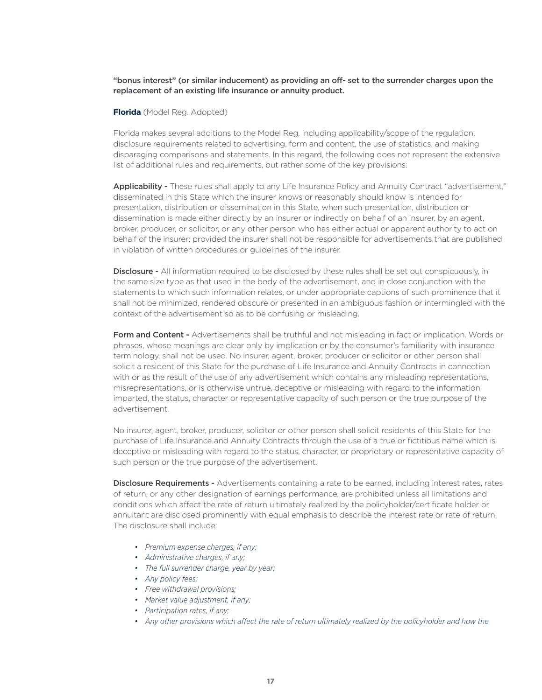"bonus interest" (or similar inducement) as providing an off- set to the surrender charges upon the replacement of an existing life insurance or annuity product.

#### **Florida** (Model Reg. Adopted)

Florida makes several additions to the Model Reg. including applicability/scope of the regulation, disclosure requirements related to advertising, form and content, the use of statistics, and making disparaging comparisons and statements. In this regard, the following does not represent the extensive list of additional rules and requirements, but rather some of the key provisions:

Applicability - These rules shall apply to any Life Insurance Policy and Annuity Contract "advertisement," disseminated in this State which the insurer knows or reasonably should know is intended for presentation, distribution or dissemination in this State, when such presentation, distribution or dissemination is made either directly by an insurer or indirectly on behalf of an insurer, by an agent, broker, producer, or solicitor, or any other person who has either actual or apparent authority to act on behalf of the insurer; provided the insurer shall not be responsible for advertisements that are published in violation of written procedures or guidelines of the insurer.

Disclosure - All information required to be disclosed by these rules shall be set out conspicuously, in the same size type as that used in the body of the advertisement, and in close conjunction with the statements to which such information relates, or under appropriate captions of such prominence that it shall not be minimized, rendered obscure or presented in an ambiguous fashion or intermingled with the context of the advertisement so as to be confusing or misleading.

Form and Content - Advertisements shall be truthful and not misleading in fact or implication. Words or phrases, whose meanings are clear only by implication or by the consumer's familiarity with insurance terminology, shall not be used. No insurer, agent, broker, producer or solicitor or other person shall solicit a resident of this State for the purchase of Life Insurance and Annuity Contracts in connection with or as the result of the use of any advertisement which contains any misleading representations, misrepresentations, or is otherwise untrue, deceptive or misleading with regard to the information imparted, the status, character or representative capacity of such person or the true purpose of the advertisement.

No insurer, agent, broker, producer, solicitor or other person shall solicit residents of this State for the purchase of Life Insurance and Annuity Contracts through the use of a true or fictitious name which is deceptive or misleading with regard to the status, character, or proprietary or representative capacity of such person or the true purpose of the advertisement.

**Disclosure Requirements -** Advertisements containing a rate to be earned, including interest rates, rates of return, or any other designation of earnings performance, are prohibited unless all limitations and conditions which affect the rate of return ultimately realized by the policyholder/certificate holder or annuitant are disclosed prominently with equal emphasis to describe the interest rate or rate of return. The disclosure shall include:

- *• Premium expense charges, if any;*
- *• Administrative charges, if any;*
- *• The full surrender charge, year by year;*
- *• Any policy fees;*
- *• Free withdrawal provisions;*
- *• Market value adjustment, if any;*
- *• Participation rates, if any;*
- Any other provisions which affect the rate of return ultimately realized by the policyholder and how the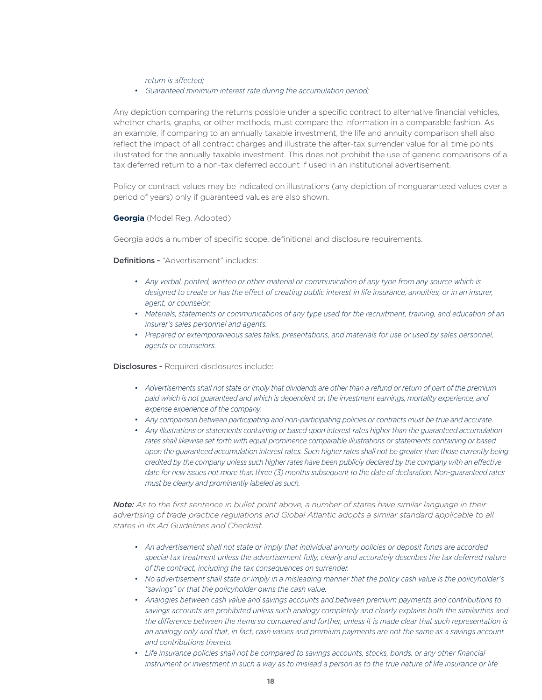*return is affected;*

*• Guaranteed minimum interest rate during the accumulation period;*

Any depiction comparing the returns possible under a specific contract to alternative financial vehicles, whether charts, graphs, or other methods, must compare the information in a comparable fashion. As an example, if comparing to an annually taxable investment, the life and annuity comparison shall also reflect the impact of all contract charges and illustrate the after-tax surrender value for all time points illustrated for the annually taxable investment. This does not prohibit the use of generic comparisons of a tax deferred return to a non-tax deferred account if used in an institutional advertisement.

Policy or contract values may be indicated on illustrations (any depiction of nonguaranteed values over a period of years) only if guaranteed values are also shown.

**Georgia** (Model Reg. Adopted)

Georgia adds a number of specific scope, definitional and disclosure requirements.

Definitions - "Advertisement" includes:

- *• Any verbal, printed, written or other material or communication of any type from any source which is designed to create or has the effect of creating public interest in life insurance, annuities, or in an insurer, agent, or counselor.*
- *• Materials, statements or communications of any type used for the recruitment, training, and education of an insurer's sales personnel and agents.*
- Prepared or extemporaneous sales talks, presentations, and materials for use or used by sales personnel, *agents or counselors.*

**Disclosures -** Required disclosures include:

- *• Advertisements shall not state or imply that dividends are other than a refund or return of part of the premium paid which is not guaranteed and which is dependent on the investment earnings, mortality experience, and expense experience of the company.*
- *• Any comparison between participating and non-participating policies or contracts must be true and accurate.*
- *• Any illustrations or statements containing or based upon interest rates higher than the guaranteed accumulation rates shall likewise set forth with equal prominence comparable illustrations or statements containing or based*  upon the guaranteed accumulation interest rates. Such higher rates shall not be greater than those currently being *credited by the company unless such higher rates have been publicly declared by the company with an effective date for new issues not more than three (3) months subsequent to the date of declaration. Non-guaranteed rates must be clearly and prominently labeled as such.*

*Note: As to the first sentence in bullet point above, a number of states have similar language in their advertising of trade practice regulations and Global Atlantic adopts a similar standard applicable to all states in its Ad Guidelines and Checklist.*

- *• An advertisement shall not state or imply that individual annuity policies or deposit funds are accorded*  special tax treatment unless the advertisement fully, clearly and accurately describes the tax deferred nature *of the contract, including the tax consequences on surrender.*
- *• No advertisement shall state or imply in a misleading manner that the policy cash value is the policyholder's "savings" or that the policyholder owns the cash value.*
- *• Analogies between cash value and savings accounts and between premium payments and contributions to savings accounts are prohibited unless such analogy completely and clearly explains both the similarities and the difference between the items so compared and further, unless it is made clear that such representation is an analogy only and that, in fact, cash values and premium payments are not the same as a savings account and contributions thereto.*
- Life insurance policies shall not be compared to savings accounts, stocks, bonds, or any other financial *instrument or investment in such a way as to mislead a person as to the true nature of life insurance or life*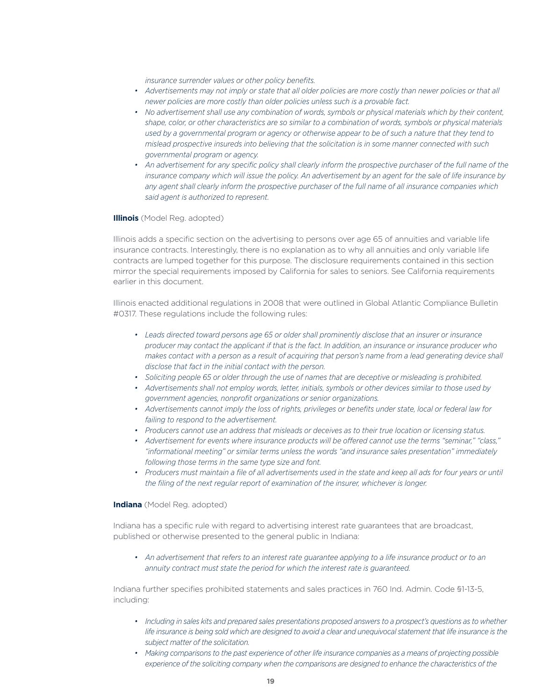*insurance surrender values or other policy benefits.*

- Advertisements may not imply or state that all older policies are more costly than newer policies or that all *newer policies are more costly than older policies unless such is a provable fact.*
- No advertisement shall use any combination of words, symbols or physical materials which by their content, *shape, color, or other characteristics are so similar to a combination of words, symbols or physical materials used by a governmental program or agency or otherwise appear to be of such a nature that they tend to mislead prospective insureds into believing that the solicitation is in some manner connected with such governmental program or agency.*
- An advertisement for any specific policy shall clearly inform the prospective purchaser of the full name of the *insurance company which will issue the policy. An advertisement by an agent for the sale of life insurance by any agent shall clearly inform the prospective purchaser of the full name of all insurance companies which said agent is authorized to represent.*

### **Illinois** (Model Reg. adopted)

Illinois adds a specific section on the advertising to persons over age 65 of annuities and variable life insurance contracts. Interestingly, there is no explanation as to why all annuities and only variable life contracts are lumped together for this purpose. The disclosure requirements contained in this section mirror the special requirements imposed by California for sales to seniors. See California requirements earlier in this document.

Illinois enacted additional regulations in 2008 that were outlined in Global Atlantic Compliance Bulletin #0317. These regulations include the following rules:

- *• Leads directed toward persons age 65 or older shall prominently disclose that an insurer or insurance producer may contact the applicant if that is the fact. In addition, an insurance or insurance producer who*  makes contact with a person as a result of acquiring that person's name from a lead generating device shall *disclose that fact in the initial contact with the person.*
- *• Soliciting people 65 or older through the use of names that are deceptive or misleading is prohibited.*
- *• Advertisements shall not employ words, letter, initials, symbols or other devices similar to those used by government agencies, nonprofit organizations or senior organizations.*
- *• Advertisements cannot imply the loss of rights, privileges or benefits under state, local or federal law for failing to respond to the advertisement.*
- *• Producers cannot use an address that misleads or deceives as to their true location or licensing status.*
- *• Advertisement for events where insurance products will be offered cannot use the terms "seminar," "class," "informational meeting" or similar terms unless the words "and insurance sales presentation" immediately following those terms in the same type size and font.*
- Producers must maintain a file of all advertisements used in the state and keep all ads for four years or until *the filing of the next regular report of examination of the insurer, whichever is longer.*

#### **Indiana** (Model Reg. adopted)

Indiana has a specific rule with regard to advertising interest rate guarantees that are broadcast, published or otherwise presented to the general public in Indiana:

*• An advertisement that refers to an interest rate guarantee applying to a life insurance product or to an annuity contract must state the period for which the interest rate is guaranteed.*

Indiana further specifies prohibited statements and sales practices in 760 Ind. Admin. Code §1-13-5, including:

- *• Including in sales kits and prepared sales presentations proposed answers to a prospect's questions as to whether*  life insurance is being sold which are designed to avoid a clear and unequivocal statement that life insurance is the *subject matter of the solicitation.*
- Making comparisons to the past experience of other life insurance companies as a means of projecting possible *experience of the soliciting company when the comparisons are designed to enhance the characteristics of the*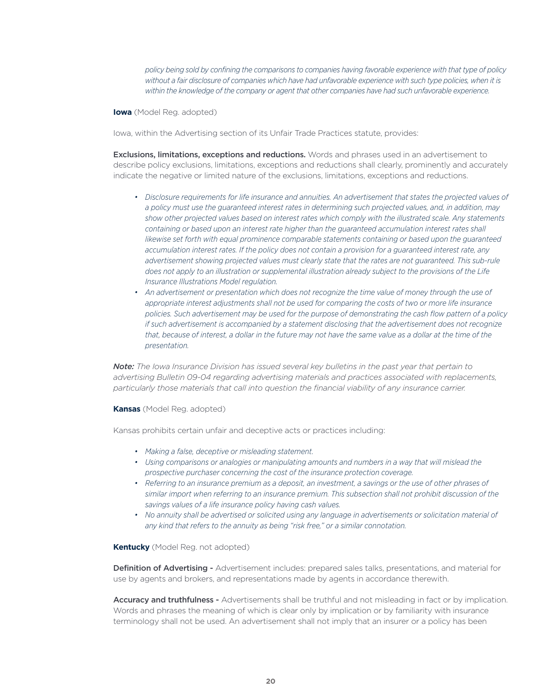*policy being sold by confining the comparisons to companies having favorable experience with that type of policy*  without a fair disclosure of companies which have had unfavorable experience with such type policies, when it is *within the knowledge of the company or agent that other companies have had such unfavorable experience.*

#### **Iowa** (Model Reg. adopted)

Iowa, within the Advertising section of its Unfair Trade Practices statute, provides:

Exclusions, limitations, exceptions and reductions. Words and phrases used in an advertisement to describe policy exclusions, limitations, exceptions and reductions shall clearly, prominently and accurately indicate the negative or limited nature of the exclusions, limitations, exceptions and reductions.

- Disclosure requirements for life insurance and annuities. An advertisement that states the projected values of *a policy must use the guaranteed interest rates in determining such projected values, and, in addition, may show other projected values based on interest rates which comply with the illustrated scale. Any statements containing or based upon an interest rate higher than the guaranteed accumulation interest rates shall likewise set forth with equal prominence comparable statements containing or based upon the guaranteed accumulation interest rates. If the policy does not contain a provision for a guaranteed interest rate, any advertisement showing projected values must clearly state that the rates are not guaranteed. This sub-rule does not apply to an illustration or supplemental illustration already subject to the provisions of the Life Insurance Illustrations Model regulation.*
- *• An advertisement or presentation which does not recognize the time value of money through the use of appropriate interest adjustments shall not be used for comparing the costs of two or more life insurance policies. Such advertisement may be used for the purpose of demonstrating the cash flow pattern of a policy if such advertisement is accompanied by a statement disclosing that the advertisement does not recognize that, because of interest, a dollar in the future may not have the same value as a dollar at the time of the presentation.*

*Note: The Iowa Insurance Division has issued several key bulletins in the past year that pertain to advertising Bulletin 09-04 regarding advertising materials and practices associated with replacements, particularly those materials that call into question the financial viability of any insurance carrier.*

#### **Kansas** (Model Reg. adopted)

Kansas prohibits certain unfair and deceptive acts or practices including:

- *• Making a false, deceptive or misleading statement.*
- *• Using comparisons or analogies or manipulating amounts and numbers in a way that will mislead the prospective purchaser concerning the cost of the insurance protection coverage.*
- Referring to an insurance premium as a deposit, an investment, a savings or the use of other phrases of *similar import when referring to an insurance premium. This subsection shall not prohibit discussion of the savings values of a life insurance policy having cash values.*
- *• No annuity shall be advertised or solicited using any language in advertisements or solicitation material of any kind that refers to the annuity as being "risk free," or a similar connotation.*

#### **Kentucky** (Model Reg. not adopted)

Definition of Advertising - Advertisement includes: prepared sales talks, presentations, and material for use by agents and brokers, and representations made by agents in accordance therewith.

Accuracy and truthfulness - Advertisements shall be truthful and not misleading in fact or by implication. Words and phrases the meaning of which is clear only by implication or by familiarity with insurance terminology shall not be used. An advertisement shall not imply that an insurer or a policy has been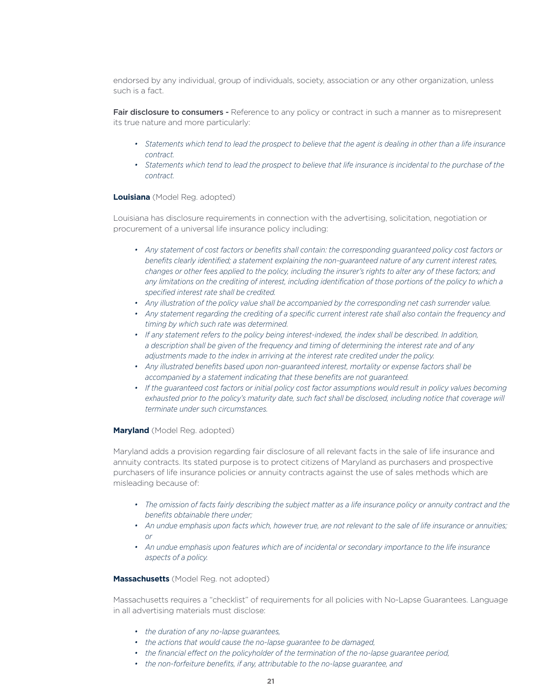endorsed by any individual, group of individuals, society, association or any other organization, unless such is a fact.

Fair disclosure to consumers - Reference to any policy or contract in such a manner as to misrepresent its true nature and more particularly:

- *• Statements which tend to lead the prospect to believe that the agent is dealing in other than a life insurance contract.*
- Statements which tend to lead the prospect to believe that life insurance is incidental to the purchase of the *contract.*

#### **Louisiana** (Model Reg. adopted)

Louisiana has disclosure requirements in connection with the advertising, solicitation, negotiation or procurement of a universal life insurance policy including:

- *• Any statement of cost factors or benefits shall contain: the corresponding guaranteed policy cost factors or benefits clearly identified; a statement explaining the non-guaranteed nature of any current interest rates, changes or other fees applied to the policy, including the insurer's rights to alter any of these factors; and any limitations on the crediting of interest, including identification of those portions of the policy to which a specified interest rate shall be credited.*
- *• Any illustration of the policy value shall be accompanied by the corresponding net cash surrender value.*
- *• Any statement regarding the crediting of a specific current interest rate shall also contain the frequency and timing by which such rate was determined.*
- *• If any statement refers to the policy being interest-indexed, the index shall be described. In addition, a description shall be given of the frequency and timing of determining the interest rate and of any adjustments made to the index in arriving at the interest rate credited under the policy.*
- *• Any illustrated benefits based upon non-guaranteed interest, mortality or expense factors shall be accompanied by a statement indicating that these benefits are not guaranteed.*
- If the quaranteed cost factors or initial policy cost factor assumptions would result in policy values becoming exhausted prior to the policy's maturity date, such fact shall be disclosed, including notice that coverage will *terminate under such circumstances.*

#### **Maryland** (Model Reg. adopted)

Maryland adds a provision regarding fair disclosure of all relevant facts in the sale of life insurance and annuity contracts. Its stated purpose is to protect citizens of Maryland as purchasers and prospective purchasers of life insurance policies or annuity contracts against the use of sales methods which are misleading because of:

- *• The omission of facts fairly describing the subject matter as a life insurance policy or annuity contract and the benefits obtainable there under;*
- *• An undue emphasis upon facts which, however true, are not relevant to the sale of life insurance or annuities; or*
- *• An undue emphasis upon features which are of incidental or secondary importance to the life insurance aspects of a policy.*

#### **Massachusetts** (Model Reg. not adopted)

Massachusetts requires a "checklist" of requirements for all policies with No-Lapse Guarantees. Language in all advertising materials must disclose:

- *• the duration of any no-lapse guarantees,*
- *• the actions that would cause the no-lapse guarantee to be damaged,*
- *• the financial effect on the policyholder of the termination of the no-lapse guarantee period,*
- *• the non-forfeiture benefits, if any, attributable to the no-lapse guarantee, and*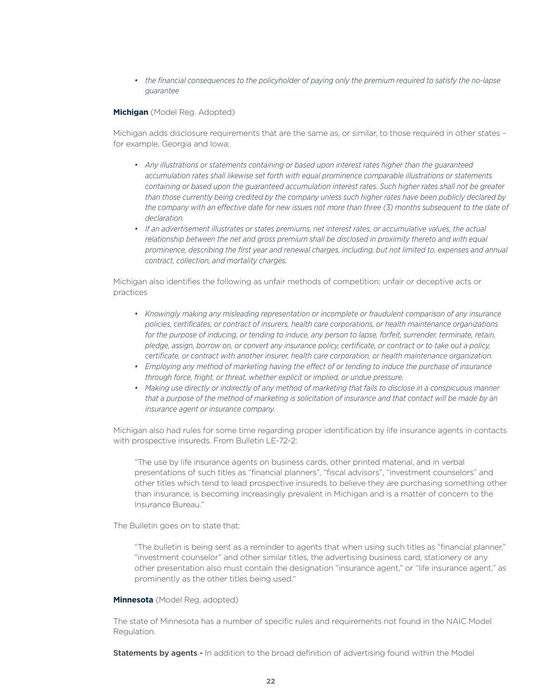*• the financial consequences to the policyholder of paying only the premium required to satisfy the no-lapse guarantee*

#### **Michigan** (Model Reg. Adopted)

Michigan adds disclosure requirements that are the same as, or similar, to those required in other states – for example, Georgia and Iowa:

- *• Any illustrations or statements containing or based upon interest rates higher than the guaranteed accumulation rates shall likewise set forth with equal prominence comparable illustrations or statements containing or based upon the guaranteed accumulation interest rates. Such higher rates shall not be greater than those currently being credited by the company unless such higher rates have been publicly declared by the company with an effective date for new issues not more than three (3) months subsequent to the date of declaration.*
- **•** If an advertisement illustrates or states premiums, net interest rates, or accumulative values, the actual *relationship between the net and gross premium shall be disclosed in proximity thereto and with equal prominence, describing the first year and renewal charges, including, but not limited to, expenses and annual contract, collection, and mortality charges.*

Michigan also identifies the following as unfair methods of competition; unfair or deceptive acts or practices

- *• Knowingly making any misleading representation or incomplete or fraudulent comparison of any insurance policies, certificates, or contract of insurers, health care corporations, or health maintenance organizations for the purpose of inducing, or tending to induce, any person to lapse, forfeit, surrender, terminate, retain, pledge, assign, borrow on, or convert any insurance policy, certificate, or contract or to take out a policy, certificate, or contract with another insurer, health care corporation, or health maintenance organization.*
- *• Employing any method of marketing having the effect of or tending to induce the purchase of insurance through force, fright, or threat, whether explicit or implied, or undue pressure.*
- *• Making use directly or indirectly of any method of marketing that fails to disclose in a conspicuous manner that a purpose of the method of marketing is solicitation of insurance and that contact will be made by an insurance agent or insurance company.*

Michigan also had rules for some time regarding proper identification by life insurance agents in contacts with prospective insureds. From Bulletin LE-72-2:

"The use by life insurance agents on business cards, other printed material, and in verbal presentations of such titles as "financial planners", "fiscal advisors", "investment counselors" and other titles which tend to lead prospective insureds to believe they are purchasing something other than insurance, is becoming increasingly prevalent in Michigan and is a matter of concern to the Insurance Bureau."

The Bulletin goes on to state that:

"The bulletin is being sent as a reminder to agents that when using such titles as "financial planner," "investment counselor" and other similar titles, the advertising business card, stationery or any other presentation also must contain the designation "insurance agent," or "life insurance agent," as prominently as the other titles being used."

#### **Minnesota** (Model Reg. adopted)

The state of Minnesota has a number of specific rules and requirements not found in the NAIC Model Regulation.

**Statements by agents -** In addition to the broad definition of advertising found within the Model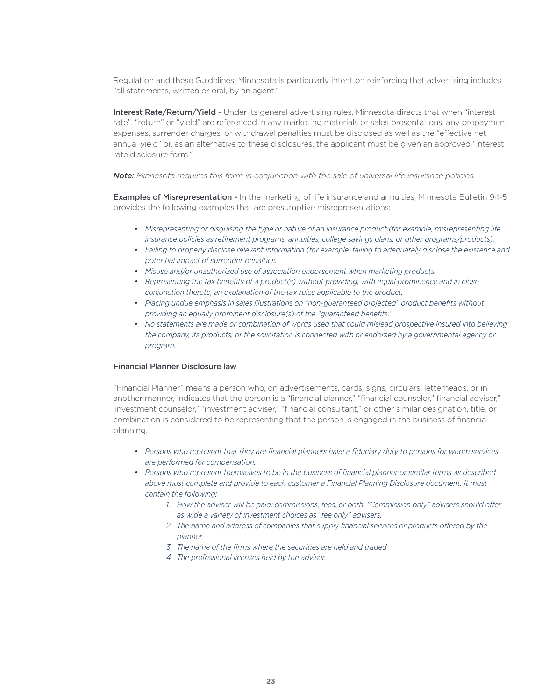Regulation and these Guidelines, Minnesota is particularly intent on reinforcing that advertising includes "all statements, written or oral, by an agent."

Interest Rate/Return/Yield - Under its general advertising rules, Minnesota directs that when "interest rate", "return" or "yield" are referenced in any marketing materials or sales presentations, any prepayment expenses, surrender charges, or withdrawal penalties must be disclosed as well as the "effective net annual yield" or, as an alternative to these disclosures, the applicant must be given an approved "interest rate disclosure form."

*Note: Minnesota requires this form in conjunction with the sale of universal life insurance policies.*

Examples of Misrepresentation - In the marketing of life insurance and annuities, Minnesota Bulletin 94-5 provides the following examples that are presumptive misrepresentations:

- Misrepresenting or disquising the type or nature of an insurance product (for example, misrepresenting life *insurance policies as retirement programs, annuities, college savings plans, or other programs/products).*
- *• Failing to properly disclose relevant information (for example, failing to adequately disclose the existence and potential impact of surrender penalties.*
- *• Misuse and/or unauthorized use of association endorsement when marketing products.*
- *• Representing the tax benefits of a product(s) without providing, with equal prominence and in close conjunction thereto, an explanation of the tax rules applicable to the product,*
- *• Placing undue emphasis in sales illustrations on "non-guaranteed projected" product benefits without providing an equally prominent disclosure(s) of the "guaranteed benefits."*
- No statements are made or combination of words used that could mislead prospective insured into believing *the company, its products, or the solicitation is connected with or endorsed by a governmental agency or program.*

#### Financial Planner Disclosure law

"Financial Planner" means a person who, on advertisements, cards, signs, circulars, letterheads, or in another manner, indicates that the person is a "financial planner," "financial counselor," financial adviser," 'investment counselor," "investment adviser," "financial consultant," or other similar designation, title, or combination is considered to be representing that the person is engaged in the business of financial planning.

- Persons who represent that they are financial planners have a fiduciary duty to persons for whom services *are performed for compensation.*
- *• Persons who represent themselves to be in the business of financial planner or similar terms as described above must complete and provide to each customer a Financial Planning Disclosure document. It must contain the following:*
	- *1. How the adviser will be paid; commissions, fees, or both. "Commission only" advisers should offer as wide a variety of investment choices as "fee only" advisers.*
	- *2. The name and address of companies that supply financial services or products offered by the planner.*
	- *3. The name of the firms where the securities are held and traded.*
	- *4. The professional licenses held by the adviser.*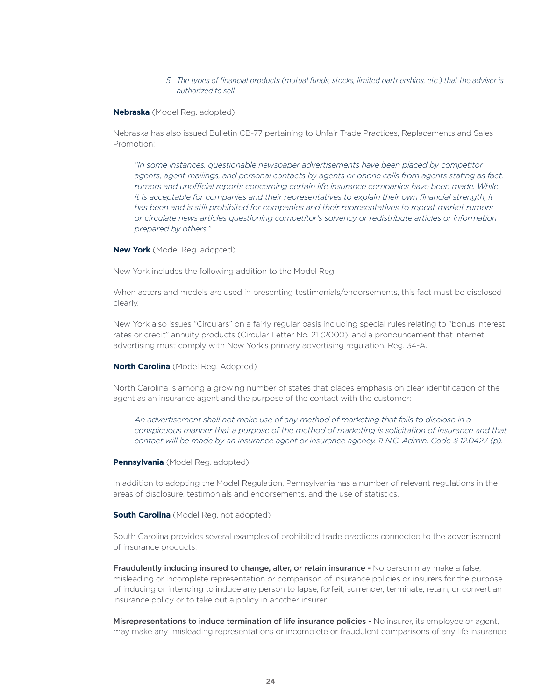#### *5. The types of financial products (mutual funds, stocks, limited partnerships, etc.) that the adviser is authorized to sell.*

#### **Nebraska** (Model Reg. adopted)

Nebraska has also issued Bulletin CB-77 pertaining to Unfair Trade Practices, Replacements and Sales Promotion:

*"In some instances, questionable newspaper advertisements have been placed by competitor agents, agent mailings, and personal contacts by agents or phone calls from agents stating as fact, rumors and unofficial reports concerning certain life insurance companies have been made. While it is acceptable for companies and their representatives to explain their own financial strength, it has been and is still prohibited for companies and their representatives to repeat market rumors or circulate news articles questioning competitor's solvency or redistribute articles or information prepared by others."*

**New York** (Model Reg. adopted)

New York includes the following addition to the Model Reg:

When actors and models are used in presenting testimonials/endorsements, this fact must be disclosed clearly.

New York also issues "Circulars" on a fairly regular basis including special rules relating to "bonus interest rates or credit" annuity products (Circular Letter No. 21 (2000), and a pronouncement that internet advertising must comply with New York's primary advertising regulation, Reg. 34-A.

#### **North Carolina** (Model Reg. Adopted)

North Carolina is among a growing number of states that places emphasis on clear identification of the agent as an insurance agent and the purpose of the contact with the customer:

*An advertisement shall not make use of any method of marketing that fails to disclose in a conspicuous manner that a purpose of the method of marketing is solicitation of insurance and that contact will be made by an insurance agent or insurance agency. 11 N.C. Admin. Code § 12.0427 (p).*

#### **Pennsylvania** (Model Reg. adopted)

In addition to adopting the Model Regulation, Pennsylvania has a number of relevant regulations in the areas of disclosure, testimonials and endorsements, and the use of statistics.

#### **South Carolina** (Model Reg. not adopted)

South Carolina provides several examples of prohibited trade practices connected to the advertisement of insurance products:

Fraudulently inducing insured to change, alter, or retain insurance - No person may make a false, misleading or incomplete representation or comparison of insurance policies or insurers for the purpose of inducing or intending to induce any person to lapse, forfeit, surrender, terminate, retain, or convert an insurance policy or to take out a policy in another insurer.

Misrepresentations to induce termination of life insurance policies - No insurer, its employee or agent, may make any misleading representations or incomplete or fraudulent comparisons of any life insurance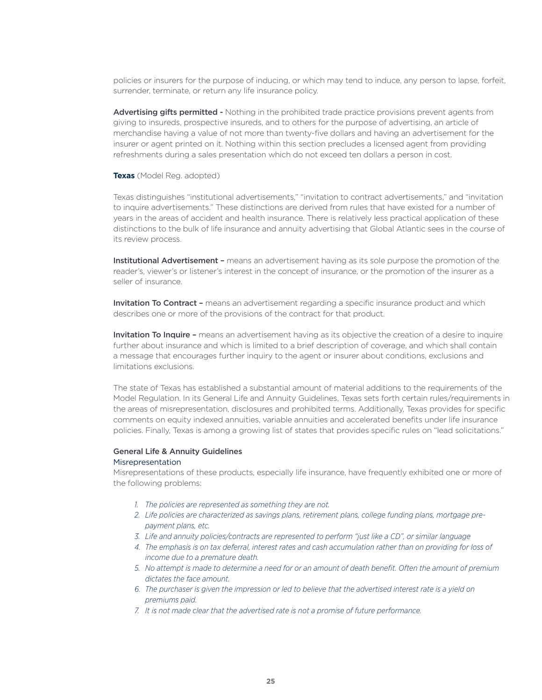policies or insurers for the purpose of inducing, or which may tend to induce, any person to lapse, forfeit, surrender, terminate, or return any life insurance policy.

Advertising gifts permitted - Nothing in the prohibited trade practice provisions prevent agents from giving to insureds, prospective insureds, and to others for the purpose of advertising, an article of merchandise having a value of not more than twenty-five dollars and having an advertisement for the insurer or agent printed on it. Nothing within this section precludes a licensed agent from providing refreshments during a sales presentation which do not exceed ten dollars a person in cost.

#### **Texas** (Model Reg. adopted)

Texas distinguishes "institutional advertisements," "invitation to contract advertisements," and "invitation to inquire advertisements." These distinctions are derived from rules that have existed for a number of years in the areas of accident and health insurance. There is relatively less practical application of these distinctions to the bulk of life insurance and annuity advertising that Global Atlantic sees in the course of its review process.

**Institutional Advertisement -** means an advertisement having as its sole purpose the promotion of the reader's, viewer's or listener's interest in the concept of insurance, or the promotion of the insurer as a seller of insurance.

**Invitation To Contract -** means an advertisement regarding a specific insurance product and which describes one or more of the provisions of the contract for that product.

Invitation To Inquire - means an advertisement having as its objective the creation of a desire to inquire further about insurance and which is limited to a brief description of coverage, and which shall contain a message that encourages further inquiry to the agent or insurer about conditions, exclusions and limitations exclusions.

The state of Texas has established a substantial amount of material additions to the requirements of the Model Regulation. In its General Life and Annuity Guidelines, Texas sets forth certain rules/requirements in the areas of misrepresentation, disclosures and prohibited terms. Additionally, Texas provides for specific comments on equity indexed annuities, variable annuities and accelerated benefits under life insurance policies. Finally, Texas is among a growing list of states that provides specific rules on "lead solicitations."

#### General Life & Annuity Guidelines Misrepresentation

Misrepresentations of these products, especially life insurance, have frequently exhibited one or more of the following problems:

- *1. The policies are represented as something they are not.*
- *2. Life policies are characterized as savings plans, retirement plans, college funding plans, mortgage prepayment plans, etc.*
- *3. Life and annuity policies/contracts are represented to perform "just like a CD", or similar language*
- *4. The emphasis is on tax deferral, interest rates and cash accumulation rather than on providing for loss of income due to a premature death.*
- *5. No attempt is made to determine a need for or an amount of death benefit. Often the amount of premium dictates the face amount.*
- *6. The purchaser is given the impression or led to believe that the advertised interest rate is a yield on premiums paid.*
- *7. It is not made clear that the advertised rate is not a promise of future performance.*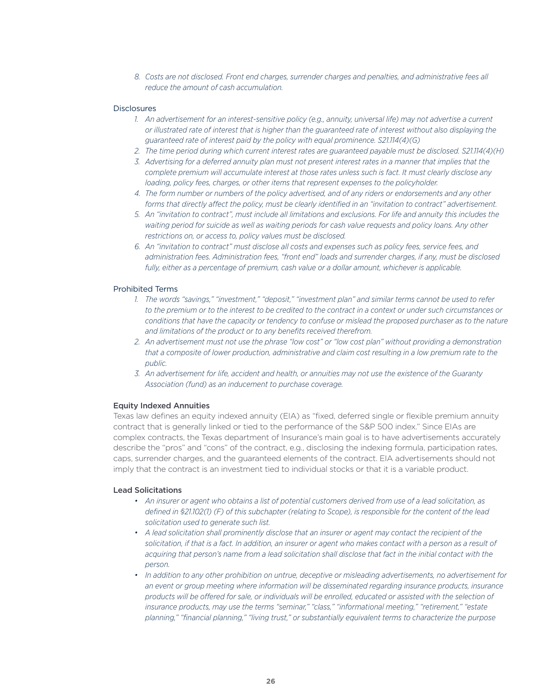*8. Costs are not disclosed. Front end charges, surrender charges and penalties, and administrative fees all reduce the amount of cash accumulation.*

#### **Disclosures**

- *1. An advertisement for an interest-sensitive policy (e.g., annuity, universal life) may not advertise a current or illustrated rate of interest that is higher than the guaranteed rate of interest without also displaying the guaranteed rate of interest paid by the policy with equal prominence. S21.114(4)(G)*
- *2. The time period during which current interest rates are guaranteed payable must be disclosed. S21.114(4)(H)*
- *3. Advertising for a deferred annuity plan must not present interest rates in a manner that implies that the complete premium will accumulate interest at those rates unless such is fact. It must clearly disclose any loading, policy fees, charges, or other items that represent expenses to the policyholder.*
- *4. The form number or numbers of the policy advertised, and of any riders or endorsements and any other forms that directly affect the policy, must be clearly identified in an "invitation to contract" advertisement.*
- *5. An "invitation to contract", must include all limitations and exclusions. For life and annuity this includes the waiting period for suicide as well as waiting periods for cash value requests and policy loans. Any other restrictions on, or access to, policy values must be disclosed.*
- *6. An "invitation to contract" must disclose all costs and expenses such as policy fees, service fees, and administration fees. Administration fees, "front end" loads and surrender charges, if any, must be disclosed fully, either as a percentage of premium, cash value or a dollar amount, whichever is applicable.*

# Prohibited Terms

- *1. The words "savings," "investment," "deposit," "investment plan" and similar terms cannot be used to refer to the premium or to the interest to be credited to the contract in a context or under such circumstances or conditions that have the capacity or tendency to confuse or mislead the proposed purchaser as to the nature and limitations of the product or to any benefits received therefrom.*
- *2. An advertisement must not use the phrase "low cost" or "low cost plan" without providing a demonstration that a composite of lower production, administrative and claim cost resulting in a low premium rate to the public.*
- *3. An advertisement for life, accident and health, or annuities may not use the existence of the Guaranty Association (fund) as an inducement to purchase coverage.*

#### Equity Indexed Annuities

Texas law defines an equity indexed annuity (EIA) as "fixed, deferred single or flexible premium annuity contract that is generally linked or tied to the performance of the S&P 500 index." Since EIAs are complex contracts, the Texas department of Insurance's main goal is to have advertisements accurately describe the "pros" and "cons" of the contract, e.g., disclosing the indexing formula, participation rates, caps, surrender charges, and the guaranteed elements of the contract. EIA advertisements should not imply that the contract is an investment tied to individual stocks or that it is a variable product.

# Lead Solicitations

- *• An insurer or agent who obtains a list of potential customers derived from use of a lead solicitation, as defined in §21.102(1) (F) of this subchapter (relating to Scope), is responsible for the content of the lead solicitation used to generate such list.*
- A lead solicitation shall prominently disclose that an insurer or agent may contact the recipient of the *solicitation, if that is a fact. In addition, an insurer or agent who makes contact with a person as a result of*  acquiring that person's name from a lead solicitation shall disclose that fact in the initial contact with the *person.*
- *• In addition to any other prohibition on untrue, deceptive or misleading advertisements, no advertisement for an event or group meeting where information will be disseminated regarding insurance products, insurance products will be offered for sale, or individuals will be enrolled, educated or assisted with the selection of insurance products, may use the terms "seminar," "class," "informational meeting," "retirement," "estate planning," "financial planning," "living trust," or substantially equivalent terms to characterize the purpose*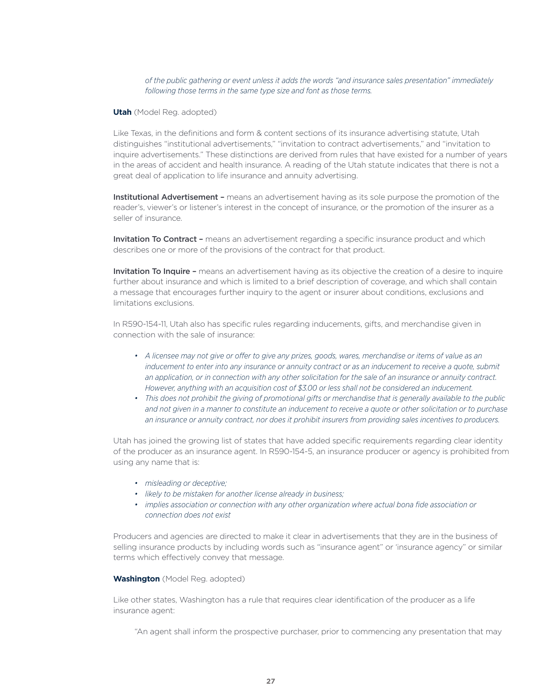# *of the public gathering or event unless it adds the words "and insurance sales presentation" immediately following those terms in the same type size and font as those terms.*

#### **Utah** (Model Reg. adopted)

Like Texas, in the definitions and form & content sections of its insurance advertising statute, Utah distinguishes "institutional advertisements," "invitation to contract advertisements," and "invitation to inquire advertisements." These distinctions are derived from rules that have existed for a number of years in the areas of accident and health insurance. A reading of the Utah statute indicates that there is not a great deal of application to life insurance and annuity advertising.

Institutional Advertisement - means an advertisement having as its sole purpose the promotion of the reader's, viewer's or listener's interest in the concept of insurance, or the promotion of the insurer as a seller of insurance.

Invitation To Contract - means an advertisement regarding a specific insurance product and which describes one or more of the provisions of the contract for that product.

Invitation To Inquire - means an advertisement having as its objective the creation of a desire to inquire further about insurance and which is limited to a brief description of coverage, and which shall contain a message that encourages further inquiry to the agent or insurer about conditions, exclusions and limitations exclusions.

In R590-154-11, Utah also has specific rules regarding inducements, gifts, and merchandise given in connection with the sale of insurance:

- *• A licensee may not give or offer to give any prizes, goods, wares, merchandise or items of value as an inducement to enter into any insurance or annuity contract or as an inducement to receive a quote, submit an application, or in connection with any other solicitation for the sale of an insurance or annuity contract. However, anything with an acquisition cost of \$3.00 or less shall not be considered an inducement.*
- This does not prohibit the giving of promotional gifts or merchandise that is generally available to the public *and not given in a manner to constitute an inducement to receive a quote or other solicitation or to purchase an insurance or annuity contract, nor does it prohibit insurers from providing sales incentives to producers.*

Utah has joined the growing list of states that have added specific requirements regarding clear identity of the producer as an insurance agent. In R590-154-5, an insurance producer or agency is prohibited from using any name that is:

- *• misleading or deceptive;*
- *• likely to be mistaken for another license already in business;*
- *• implies association or connection with any other organization where actual bona fide association or connection does not exist*

Producers and agencies are directed to make it clear in advertisements that they are in the business of selling insurance products by including words such as "insurance agent" or 'insurance agency" or similar terms which effectively convey that message.

#### **Washington** (Model Reg. adopted)

Like other states, Washington has a rule that requires clear identification of the producer as a life insurance agent:

"An agent shall inform the prospective purchaser, prior to commencing any presentation that may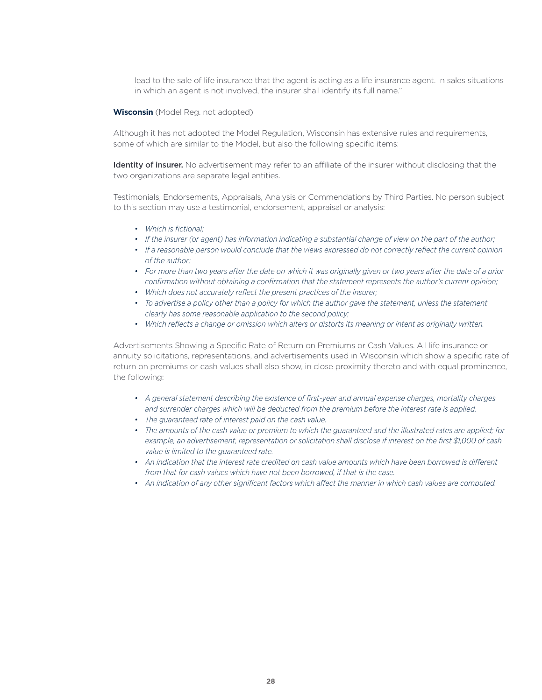lead to the sale of life insurance that the agent is acting as a life insurance agent. In sales situations in which an agent is not involved, the insurer shall identify its full name."

#### **Wisconsin** (Model Reg. not adopted)

Although it has not adopted the Model Regulation, Wisconsin has extensive rules and requirements, some of which are similar to the Model, but also the following specific items:

Identity of insurer. No advertisement may refer to an affiliate of the insurer without disclosing that the two organizations are separate legal entities.

Testimonials, Endorsements, Appraisals, Analysis or Commendations by Third Parties. No person subject to this section may use a testimonial, endorsement, appraisal or analysis:

- *• Which is fictional;*
- *• If the insurer (or agent) has information indicating a substantial change of view on the part of the author;*
- *• If a reasonable person would conclude that the views expressed do not correctly reflect the current opinion of the author;*
- *• For more than two years after the date on which it was originally given or two years after the date of a prior confirmation without obtaining a confirmation that the statement represents the author's current opinion;*
- *• Which does not accurately reflect the present practices of the insurer;*
- *• To advertise a policy other than a policy for which the author gave the statement, unless the statement clearly has some reasonable application to the second policy;*
- *• Which reflects a change or omission which alters or distorts its meaning or intent as originally written.*

Advertisements Showing a Specific Rate of Return on Premiums or Cash Values. All life insurance or annuity solicitations, representations, and advertisements used in Wisconsin which show a specific rate of return on premiums or cash values shall also show, in close proximity thereto and with equal prominence, the following:

- *• A general statement describing the existence of first-year and annual expense charges, mortality charges and surrender charges which will be deducted from the premium before the interest rate is applied.*
- *• The guaranteed rate of interest paid on the cash value.*
- *• The amounts of the cash value or premium to which the guaranteed and the illustrated rates are applied; for example, an advertisement, representation or solicitation shall disclose if interest on the first \$1,000 of cash value is limited to the guaranteed rate.*
- *• An indication that the interest rate credited on cash value amounts which have been borrowed is different from that for cash values which have not been borrowed, if that is the case.*
- *• An indication of any other significant factors which affect the manner in which cash values are computed.*